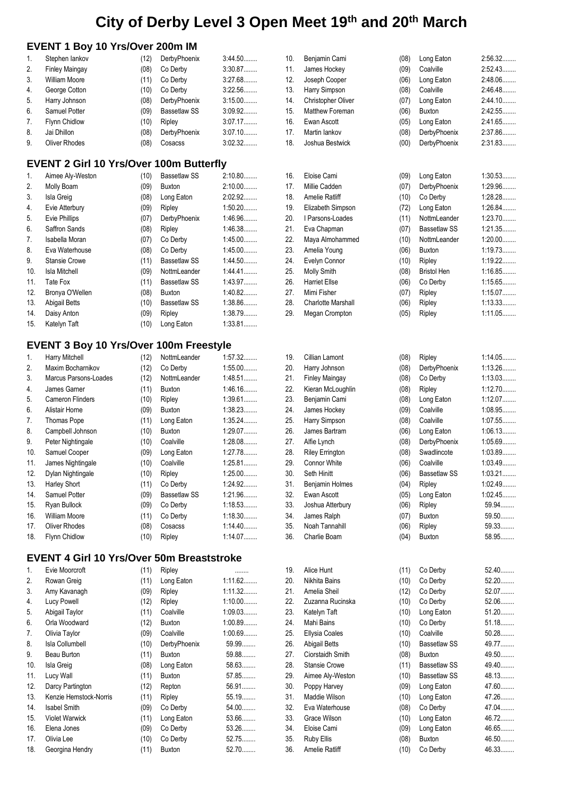### **EVENT 1 Boy 10 Yrs/Over 200m IM**

| $\mathbf{1}$ . | Stephen lankov        | (12) | DerbyPhoenix        | 3:44.50   |
|----------------|-----------------------|------|---------------------|-----------|
| 2.             | <b>Finley Maingay</b> | (08) | Co Derby            | 3:30.87   |
| 3.             | William Moore         | (11) | Co Derby            | 3:27.68   |
| 4.             | George Cotton         | (10) | Co Derby            | 3:22.56   |
| 5.             | Harry Johnson         | (08) | DerbyPhoenix        | $3:15.00$ |
| 6.             | Samuel Potter         | (09) | <b>Bassetlaw SS</b> | 3:09.92   |
| 7.             | <b>Flynn Chidlow</b>  | (10) | Ripley              | 3:07.17   |
| 8.             | Jai Dhillon           | (08) | DerbyPhoenix        | $3:07.10$ |
| 9.             | <b>Oliver Rhodes</b>  | (08) | Cosacss             | 3:02.32   |

### **EVENT 2 Girl 10 Yrs/Over 100m Butterfly**

| 1.  | Aimee Aly-Weston     | (10) | <b>Bassetlaw SS</b> | $2:10.80$ |
|-----|----------------------|------|---------------------|-----------|
| 2.  | Molly Boam           | (09) | Buxton              | $2:10.00$ |
| 3.  | Isla Greig           | (08) | Long Eaton          | 2:02.92   |
| 4.  | Evie Atterbury       | (09) | Ripley              | $1:50.20$ |
| 5.  | Evie Phillips        | (07) | DerbyPhoenix        | 1:46.96   |
| 6.  | Saffron Sands        | (08) | Ripley              | 1:46.38   |
| 7.  | Isabella Moran       | (07) | Co Derby            | $1:45.00$ |
| 8.  | Eva Waterhouse       | (08) | Co Derby            | $1:45.00$ |
| 9.  | <b>Stansie Crowe</b> | (11) | <b>Bassetlaw SS</b> | 1:44.50   |
| 10. | <b>Isla Mitchell</b> | (09) | NottmLeander        | $1.44.41$ |
| 11. | Tate Fox             | (11) | <b>Bassetlaw SS</b> | 1:43.97   |
| 12. | Bronya O'Wellen      | (08) | <b>Buxton</b>       | 1:40.82   |
| 13. | <b>Abigail Betts</b> | (10) | <b>Bassetlaw SS</b> | 1:38.86   |
| 14. | Daisy Anton          | (09) | Ripley              | 1:38.79   |
| 15. | Katelyn Taft         | (10) | Long Eaton          | 1:33.81   |

### **EVENT 3 Boy 10 Yrs/Over 100m Freestyle**

| 1.  | Harry Mitchell          | (12) | NottmLeander        | 1:57.32   |
|-----|-------------------------|------|---------------------|-----------|
| 2.  | Maxim Bocharnikov       | (12) | Co Derby            | $1:55.00$ |
| 3.  | Marcus Parsons-Loades   | (12) | NottmLeander        | 1:48.51   |
| 4.  | James Garner            | (11) | <b>Buxton</b>       | 1:46.16   |
| 5.  | <b>Cameron Flinders</b> | (10) | Ripley              | $1:39.61$ |
| 6.  | Alistair Horne          | (09) | Buxton              | 1:38.23   |
| 7.  | Thomas Pope             | (11) | Long Eaton          | $1:35.24$ |
| 8.  | Campbell Johnson        | (10) | Buxton              | 1:29.07   |
| 9.  | Peter Nightingale       | (10) | Coalville           | 1:28.08   |
| 10. | Samuel Cooper           | (09) | Long Eaton          | 1:27.78   |
| 11. | James Nightingale       | (10) | Coalville           | 1:25.81   |
| 12. | Dylan Nightingale       | (10) | Ripley              | $1:25.00$ |
| 13. | Harley Short            | (11) | Co Derby            | 1:24.92   |
| 14. | Samuel Potter           | (09) | <b>Bassetlaw SS</b> | 1:21.96   |
| 15. | Ryan Bullock            | (09) | Co Derby            | 1:18.53   |
| 16. | William Moore           | (11) | Co Derby            | 1:18.30   |
| 17. | <b>Oliver Rhodes</b>    | (08) | Cosacss             | $1:14.40$ |
| 18. | <b>Flynn Chidlow</b>    | (10) | Ripley              | 1:14.07   |

### **EVENT 4 Girl 10 Yrs/Over 50m Breaststroke**

| 1.  | Evie Moorcroft         | (11) | Ripley        | .         |
|-----|------------------------|------|---------------|-----------|
| 2.  | Rowan Greig            | (11) | Long Eaton    | 1:11.62   |
| 3.  | Amy Kavanagh           | (09) | Ripley        | 1:11.32   |
| 4.  | Lucy Powell            | (12) | Ripley        | $1:10.00$ |
| 5.  | Abigail Taylor         | (11) | Coalville     | 1:09.03   |
| 6.  | Orla Woodward          | (12) | <b>Buxton</b> | 1:00.89   |
| 7.  | Olivia Taylor          | (09) | Coalville     | 1:00.69   |
| 8.  | Isla Collumbell        | (10) | DerbyPhoenix  | 59.99     |
| 9.  | Beau Burton            | (11) | Buxton        | 59.88     |
| 10. | Isla Greig             | (08) | Long Eaton    | 58.63     |
| 11. | Lucy Wall              | (11) | Buxton        | 57.85     |
| 12. | Darcy Partington       | (12) | Repton        | 56.91     |
| 13. | Kenzie Hemstock-Norris | (11) | Ripley        | 55.19     |
| 14. | <b>Isabel Smith</b>    | (09) | Co Derby      | 54.00     |
| 15. | <b>Violet Warwick</b>  | (11) | Long Eaton    | 53.66     |
| 16. | Elena Jones            | (09) | Co Derby      | 53.26     |
| 17. | Olivia Lee             | (10) | Co Derby      | 52.75     |
| 18. | Georgina Hendry        | (11) | <b>Buxton</b> | 52.70     |

| 10. | Benjamin Cami             | (08) | Long Eaton          | 2:56.32   |
|-----|---------------------------|------|---------------------|-----------|
| 11. | James Hockey              | (09) | Coalville           | 2:52.43   |
| 12. | Joseph Cooper             | (06) | Long Eaton          | 2:48.06   |
| 13. | Harry Simpson             | (08) | Coalville           | 2:46.48   |
| 14. | Christopher Oliver        | (07) | Long Eaton          | 2:44.10   |
| 15. | Matthew Foreman           | (06) | <b>Buxton</b>       | 2:42.55   |
| 16. | Ewan Ascott               | (05) | Long Eaton          | 2:41.65   |
| 17. | Martin lankov             | (08) | DerbyPhoenix        | 2:37.86   |
| 18. | Joshua Bestwick           | (00) | DerbyPhoenix        | 2:31.83   |
| 16. | Eloise Cami               | (09) | Long Eaton          | 1:30.53   |
| 17. | Millie Cadden             | (07) | DerbyPhoenix        | 1:29.96   |
| 18. | <b>Amelie Ratliff</b>     | (10) | Co Derby            | 1:28.28   |
| 19. | Elizabeth Simpson         | (72) | Long Eaton          | 1:26.84   |
| 20. | I Parsons-Loades          | (11) | NottmLeander        | 1:23.70   |
| 21. | Eva Chapman               | (07) | <b>Bassetlaw SS</b> | 1:21.35   |
| 22. | Maya Almohammed           | (10) | NottmLeander        | $1:20.00$ |
| 23. | Amelia Young              | (06) | <b>Buxton</b>       | 1:19.73   |
| 24. | Evelyn Connor             | (10) | Ripley              | 1:19.22   |
| 25. | Molly Smith               | (08) | <b>Bristol Hen</b>  | 1:16.85   |
| 26. | <b>Harriet Ellse</b>      | (06) | Co Derby            | 1:15.65   |
| 27. | Mimi Fisher               | (07) | Ripley              | 1:15.07   |
| 28. | <b>Charlotte Marshall</b> | (06) | Ripley              | 1:13.33   |
| 29. | Megan Crompton            | (05) | Ripley              | $1:11.05$ |
|     |                           |      |                     |           |
| 19. | Cillian Lamont            | (08) | Ripley              | 1:14.05   |
| 20. | Harry Johnson             | (08) | DerbyPhoenix        | 1:13.26   |
| 21. | <b>Finley Maingay</b>     | (08) | Co Derby            | 1:13.03   |
| 22. | Kieran McLoughlin         | (08) | Ripley              | 1:12.70   |
| 23. | Beniamin Cami             | (08) | I ong Faton         | 1.1207    |

| 22. | Kieran McLoughlin      | (08) | Ripley              | 1:12.70   |
|-----|------------------------|------|---------------------|-----------|
| 23. | Benjamin Cami          | (08) | Long Eaton          | 1:12.07   |
| 24. | James Hockey           | (09) | Coalville           | 1:08.95   |
| 25. | Harry Simpson          | (08) | Coalville           | 1:07.55   |
| 26. | James Bartram          | (06) | Long Eaton          | 1:06.13   |
| 27. | Alfie Lynch            | (08) | DerbyPhoenix        | 1:05.69   |
| 28. | <b>Riley Errington</b> | (08) | Swadlincote         | 1:03.89   |
| 29. | <b>Connor White</b>    | (06) | Coalville           | 1:03.49   |
| 30. | Seth Hinitt            | (06) | <b>Bassetlaw SS</b> | $1:03.21$ |
| 31. | Benjamin Holmes        | (04) | Ripley              | 1:02.49   |
| 32. | Ewan Ascott            | (05) | Long Eaton          | 1:02.45   |
| 33. | Joshua Atterbury       | (06) | Ripley              | 59.94     |
| 34. | James Ralph            | (07) | <b>Buxton</b>       | 59.50     |
| 35. | Noah Tannahill         | (06) | Ripley              | 59.33     |
| 36. | Charlie Boam           | (04) | <b>Buxton</b>       | 58.95     |

| 19. | Alice Hunt            | (11) | Co Derby            | 52.40<br>. |
|-----|-----------------------|------|---------------------|------------|
| 20. | Nikhita Bains         | (10) | Co Derby            | $52.20$    |
| 21. | Amelia Sheil          | (12) | Co Derby            | 52.07      |
| 22. | Zuzanna Rucinska      | (10) | Co Derby            | $52.06$    |
| 23. | Katelyn Taft          | (10) | Long Eaton          | $51.20$    |
| 24. | Mahi Bains            | (10) | Co Derby            | 51.18      |
| 25. | <b>Ellysia Coales</b> | (10) | Coalville           | $50.28$    |
| 26. | <b>Abigail Betts</b>  | (10) | <b>Bassetlaw SS</b> | 49.77      |
| 27. | Ciorstaidh Smith      | (08) | <b>Buxton</b>       | 49.50      |
| 28. | <b>Stansie Crowe</b>  | (11) | <b>Bassetlaw SS</b> | 49.40      |
| 29. | Aimee Aly-Weston      | (10) | Bassetlaw SS        | 48.13      |
| 30. | Poppy Harvey          | (09) | Long Eaton          | 47.60      |
| 31. | Maddie Wilson         | (10) | Long Eaton          | 47.26      |
| 32. | Eva Waterhouse        | (08) | Co Derby            | 47.04      |
| 33. | Grace Wilson          | (10) | Long Eaton          | 46.72      |
| 34. | Eloise Cami           | (09) | Long Eaton          | 46.65      |
| 35. | <b>Ruby Ellis</b>     | (08) | <b>Buxton</b>       | 46.50      |
| 36. | <b>Amelie Ratliff</b> | (10) | Co Derby            | 46.33      |
|     |                       |      |                     |            |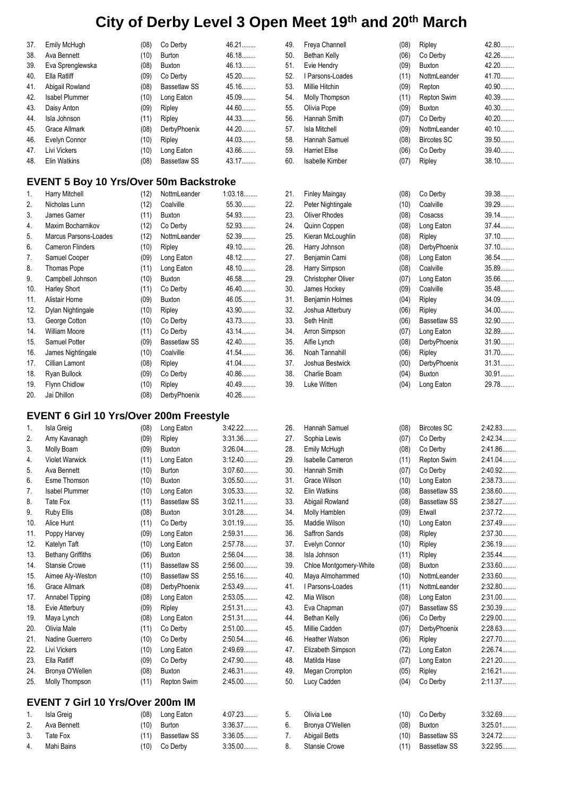| 37. | Emily McHugh          | (08) | Co Derby            | $46.21$ |
|-----|-----------------------|------|---------------------|---------|
| 38. | Ava Bennett           | (10) | <b>Burton</b>       | 46.18   |
| 39. | Eva Sprenglewska      | (08) | <b>Buxton</b>       | 46.13   |
| 40. | Ella Ratliff          | (09) | Co Derby            | 45.20   |
| 41. | Abigail Rowland       | (08) | <b>Bassetlaw SS</b> | 45.16   |
| 42. | <b>Isabel Plummer</b> | (10) | Long Eaton          | 45.09   |
| 43. | Daisy Anton           | (09) | Ripley              | 44.60   |
| 44. | Isla Johnson          | (11) | Ripley              | 44.33   |
| 45. | Grace Allmark         | (08) | DerbyPhoenix        | 44.20   |
| 46. | Evelyn Connor         | (10) | Ripley              | 44.03   |
| 47. | Livi Vickers          | (10) | Long Eaton          | 43.66   |
| 48. | <b>Elin Watkins</b>   | (08) | <b>Bassetlaw SS</b> | 43.17   |
|     |                       |      |                     |         |

### **EVENT 5 Boy 10 Yrs/Over 50m Backstroke**

| 1.  | Harry Mitchell          | (12) | NottmLeander        | 1:03.18 |
|-----|-------------------------|------|---------------------|---------|
| 2.  | Nicholas Lunn           | (12) | Coalville           | 55.30   |
| 3.  | James Garner            | (11) | Buxton              | 54.93   |
| 4.  | Maxim Bocharnikov       | (12) | Co Derby            | 52.93   |
| 5.  | Marcus Parsons-Loades   | (12) | NottmLeander        | 52.39   |
| 6.  | <b>Cameron Flinders</b> | (10) | Ripley              | 49.10   |
| 7.  | Samuel Cooper           | (09) | Long Eaton          | 48.12   |
| 8.  | Thomas Pope             | (11) | Long Eaton          | 48.10   |
| 9.  | Campbell Johnson        | (10) | Buxton              | 46.58   |
| 10. | Harley Short            | (11) | Co Derby            | 46.40   |
| 11. | Alistair Horne          | (09) | Buxton              | 46.05   |
| 12. | Dylan Nightingale       | (10) | Ripley              | 43.90   |
| 13. | George Cotton           | (10) | Co Derby            | 43.73   |
| 14. | William Moore           | (11) | Co Derby            | 43.14   |
| 15. | Samuel Potter           | (09) | <b>Bassetlaw SS</b> | 42.40   |
| 16. | James Nightingale       | (10) | Coalville           | 41.54   |
| 17. | Cillian Lamont          | (08) | Ripley              | 41.04   |
| 18. | Ryan Bullock            | (09) | Co Derby            | 40.86   |
| 19. | <b>Flynn Chidlow</b>    | (10) | Ripley              | 40.49   |
| 20. | Jai Dhillon             | (08) | DerbyPhoenix        | 40.26   |
|     |                         |      |                     |         |

### **EVENT 6 Girl 10 Yrs/Over 200m Freestyle**

| 1.  | Isla Greig               | (08) | Long Eaton          | 3:42.22   |
|-----|--------------------------|------|---------------------|-----------|
| 2.  | Amy Kavanagh             | (09) | Ripley              | 3:31.36   |
| 3.  | Molly Boam               | (09) | Buxton              | 3:26.04   |
| 4.  | <b>Violet Warwick</b>    | (11) | Long Eaton          | $3:12.40$ |
| 5.  | Ava Bennett              | (10) | Burton              | $3:07.60$ |
| 6.  | Esme Thomson             | (10) | <b>Buxton</b>       | 3:05.50   |
| 7.  | <b>Isabel Plummer</b>    | (10) | Long Eaton          | 3:05.33   |
| 8.  | Tate Fox                 | (11) | <b>Bassetlaw SS</b> | $3:02.11$ |
| 9.  | <b>Ruby Ellis</b>        | (08) | <b>Buxton</b>       | 3:01.28   |
| 10. | Alice Hunt               | (11) | Co Derby            | 3:01.19   |
| 11. | Poppy Harvey             | (09) | Long Eaton          | $2:59.31$ |
| 12. | Katelyn Taft             | (10) | Long Eaton          | 2:57.78   |
| 13. | <b>Bethany Griffiths</b> | (06) | <b>Buxton</b>       | 2:56.04   |
| 14. | <b>Stansie Crowe</b>     | (11) | <b>Bassetlaw SS</b> | 2:56.00   |
| 15. | Aimee Aly-Weston         | (10) | <b>Bassetlaw SS</b> | 2:55.16   |
| 16. | <b>Grace Allmark</b>     | (08) | DerbyPhoenix        | 2:53.49   |
| 17. | Annabel Tipping          | (08) | Long Eaton          | 2:53.05   |
| 18. | Evie Atterbury           | (09) | Ripley              | 2:51.31   |
| 19. | Maya Lynch               | (08) | Long Eaton          | 2:51.31   |
| 20. | Olivia Male              | (11) | Co Derby            | 2:51.00   |
| 21. | Nadine Guerrero          | (10) | Co Derby            | 2:50.54   |
| 22. | Livi Vickers             | (10) | Long Eaton          | 2:49.69   |
| 23. | Ella Ratliff             | (09) | Co Derby            | 2:47.90   |
| 24. | Bronya O'Wellen          | (08) | <b>Buxton</b>       | 2:46.31   |
| 25. | Molly Thompson           | (11) | Repton Swim         | $2:45.00$ |

### **EVENT 7 Girl 10 Yrs/Over 200m IM**

| 1. | Isla Greig     | (08) Long Eaton   | 4:07.23   |
|----|----------------|-------------------|-----------|
|    | 2. Ava Bennett | $(10)$ Burton     | 3:36.37   |
|    | 3. Tate Fox    | (11) Bassetlaw SS | 3:36.05   |
|    | 4. Mahi Bains  | $(10)$ Co Derby   | $3:35.00$ |

| 49. | Freya Channell         | (08) | Ripley              | 42.80                |
|-----|------------------------|------|---------------------|----------------------|
| 50. | Bethan Kelly           | (06) | Co Derby            | 42.26                |
| 51. | Evie Hendry            | (09) | <b>Buxton</b>       | 42.20                |
| 52. | I Parsons-Loades       | (11) | NottmLeander        | 41.70                |
| 53. | Millie Hitchin         | (09) | Repton              | 40.90                |
| 54. | Molly Thompson         | (11) | Repton Swim         | 40.39                |
| 55. | Olivia Pope            | (09) | Buxton              | $40.30$              |
| 56. | Hannah Smith           | (07) | Co Derby            | 40.20                |
| 57. | <b>Isla Mitchell</b>   | (09) | NottmLeander        | 40.10                |
| 58. | Hannah Samuel          | (08) | <b>Bircotes SC</b>  | $39.50$              |
| 59. | <b>Harriet Ellse</b>   | (06) | Co Derby            | 39.40                |
| 60. | <b>Isabelle Kimber</b> | (07) | Ripley              | 38.10                |
|     |                        |      |                     |                      |
| 21. | <b>Finley Maingay</b>  | (08) | Co Derby            | 39.38                |
| 22. | Peter Nightingale      | (10) | Coalville           | 39.29                |
| 23. | <b>Oliver Rhodes</b>   | (08) | Cosacss             | 39.14.               |
| 24. | Quinn Coppen           | (08) | Long Eaton          | 37.44                |
| 25. | Kieran McLoughlin      | (08) | Ripley              | 37.10                |
| 26. | Harry Johnson          | (08) | DerbyPhoenix        | 37.10                |
| 27. | Benjamin Cami          | (08) | Long Eaton          | 36.54                |
| 28. | Harry Simpson          |      | Coalville           | 35.89                |
| 29. | Christopher Oliver     | (08) |                     | 35.66                |
|     |                        | (07) | Long Eaton          |                      |
| 30. | James Hockey           | (09) | Coalville           | 35.48                |
| 31. | Benjamin Holmes        | (04) | Ripley              | 34.09                |
| 32. | Joshua Atterbury       | (06) | Ripley              | 34.00                |
| 33. | Seth Hinitt            | (06) | <b>Bassetlaw SS</b> | 32.90                |
| 34. | Arron Simpson          | (07) | Long Eaton          | 32.89                |
| 35. | Alfie Lynch            | (08) | DerbyPhoenix        | 31.90                |
| 36. | Noah Tannahill         | (06) | Ripley              | 31.70                |
| 37. | Joshua Bestwick        | (00) | DerbyPhoenix        | 31.31                |
| 38. | Charlie Boam           | (04) | Buxton              | 30.91                |
| 39. | Luke Witten            | (04) | Long Eaton          | 29.78                |
|     |                        |      |                     |                      |
| 26. | Hannah Samuel          | (08) | <b>Bircotes SC</b>  | 2:42.83              |
| 27. | Sophia Lewis           | (07) | Co Derby            | 2:42.34              |
| 28. | Emily McHugh           | (08) | Co Derby            | 2:41.86              |
| 29. | Isabelle Cameron       | (11) | Repton Swim         | 2:41.04              |
| 30. | Hannah Smith           | (07) | Co Derby            | 2:40.92              |
| 31. | Grace Wilson           | (10) | Long Eaton          | 2:38.73              |
| 32. | Elin Watkins           | (08) | <b>Bassetlaw SS</b> | 2:38.60              |
| 33. | Abigail Rowland        | (08) | <b>Bassetlaw SS</b> | 2:38.27              |
| 34. |                        |      |                     |                      |
|     | Molly Hamblen          | (09) | Etwall              | 2:37.72              |
| 35. | Maddie Wilson          | (10) | Long Eaton          | 2:37.49              |
| 36. | Saffron Sands          | (08) | Ripley              | 2:37.30              |
| 37. | Evelyn Connor          | (10) | Ripley              | 2:36.19              |
| 38. | Isla Johnson           | (11) | Ripley              | 2:35.44              |
| 39. | Chloe Montgomery-White | (08) | Buxton              | 2:33.60              |
| 40. | Maya Almohammed        | (10) | NottmLeander        | 2:33.60              |
| 41. | I Parsons-Loades       | (11) | NottmLeander        | 2:32.80              |
| 42. | Mia Wilson             | (08) | Long Eaton          | 2:31.00              |
| 43. | Eva Chapman            | (07) | <b>Bassetlaw SS</b> | 2:30.39              |
| 44. | Bethan Kelly           | (06) | Co Derby            | 2:29.00              |
| 45. | Millie Cadden          | (07) | DerbyPhoenix        | 2:28.63              |
| 46. | <b>Heather Watson</b>  | (06) | Ripley              | 2:27.70              |
| 47. | Elizabeth Simpson      | (72) | Long Eaton          | 2:26.74              |
| 48. | Matilda Hase           | (07) | Long Eaton          | 2:21.20              |
| 49. | Megan Crompton         | (05) | Ripley              | 2:16.21              |
| 50. | Lucy Cadden            | (04) | Co Derby            | 2:11.37              |
|     |                        |      |                     |                      |
| 5.  | Olivia Lee             | (10) | Co Derby            | 3:32.69              |
| 6.  | Bronya O'Wellen        | (08) | <b>Buxton</b>       | $3:25.01$<br>3:24.72 |
| 7.  | <b>Abigail Betts</b>   | (10) | <b>Bassetlaw SS</b> |                      |

8. Stansie Crowe (11) Bassetlaw SS 3:22.95........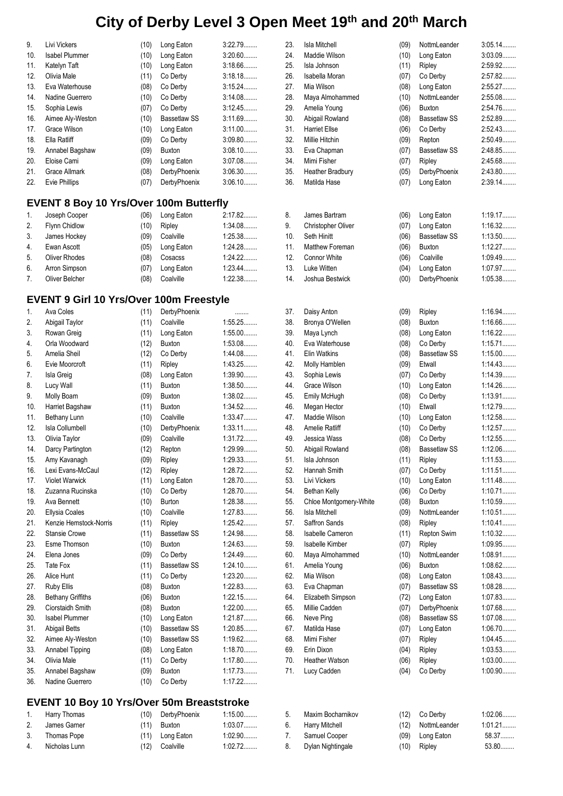| 9.  | Livi Vickers          | (10) | Long Eaton          | 3:22.79   |
|-----|-----------------------|------|---------------------|-----------|
| 10. | <b>Isabel Plummer</b> | (10) | Long Eaton          | $3:20.60$ |
| 11. | Katelyn Taft          | (10) | Long Eaton          | 3:18.66   |
| 12. | Olivia Male           | (11) | Co Derby            | 3:18.18   |
| 13. | Eva Waterhouse        | (08) | Co Derby            | 3:15.24   |
| 14. | Nadine Guerrero       | (10) | Co Derby            | 3:14.08   |
| 15. | Sophia Lewis          | (07) | Co Derby            | 3:12.45   |
| 16. | Aimee Aly-Weston      | (10) | <b>Bassetlaw SS</b> | 3:11.69   |
| 17. | Grace Wilson          | (10) | Long Eaton          | $3:11.00$ |
| 18. | Ella Ratliff          | (09) | Co Derby            | $3:09.80$ |
| 19. | Annabel Bagshaw       | (09) | <b>Buxton</b>       | $3:08.10$ |
| 20. | Eloise Cami           | (09) | Long Eaton          | 3:07.08   |
| 21. | Grace Allmark         | (08) | DerbyPhoenix        | 3:06.30   |
| 22. | Evie Phillips         | (07) | DerbyPhoenix        | $3:06.10$ |
|     |                       |      |                     |           |

### **EVENT 8 Boy 10 Yrs/Over 100m Butterfly**

| $1_{\cdot}$ | Joseph Cooper        | (06) | Long Eaton | 2:17.82   |
|-------------|----------------------|------|------------|-----------|
| 2.          | <b>Flynn Chidlow</b> | (10) | Ripley     | 1:34.08   |
| 3.          | James Hockey         | (09) | Coalville  | 1:25.38   |
| 4.          | Ewan Ascott          | (05) | Long Eaton | 1:24.28   |
| 5.          | <b>Oliver Rhodes</b> | (08) | Cosacss    | 1:24.22   |
| 6.          | Arron Simpson        | (07) | Long Eaton | $1:23.44$ |
| 7.          | Oliver Belcher       | (08) | Coalville  | 1:22.38   |
|             |                      |      |            |           |

### **EVENT 9 Girl 10 Yrs/Over 100m Freestyle**

| 1.  | Ava Coles                | (11) | DerbyPhoenix        | .         |
|-----|--------------------------|------|---------------------|-----------|
| 2.  | Abigail Taylor           | (11) | Coalville           | 1:55.25   |
| 3.  | Rowan Greig              | (11) | Long Eaton          | $1:55.00$ |
| 4.  | Orla Woodward            | (12) | <b>Buxton</b>       | 1:53.08   |
| 5.  | Amelia Sheil             | (12) | Co Derby            | 1:44.08   |
| 6.  | Evie Moorcroft           | (11) | Ripley              | 1:43.25   |
| 7.  | Isla Greig               | (08) | Long Eaton          | 1:39.90   |
| 8.  | Lucy Wall                | (11) | <b>Buxton</b>       | 1:38.50   |
| 9.  | Molly Boam               | (09) | <b>Buxton</b>       | 1:38.02   |
| 10. | Harriet Bagshaw          | (11) | <b>Buxton</b>       | 1:34.52   |
| 11. | Bethany Lunn             | (10) | Coalville           | 1:33.47   |
| 12. | Isla Collumbell          | (10) | DerbyPhoenix        | $1:33.11$ |
| 13. | Olivia Taylor            | (09) | Coalville           | 1:31.72   |
| 14. | Darcy Partington         | (12) | Repton              | 1:29.99   |
| 15. | Amy Kavanagh             | (09) | Ripley              | 1:29.33   |
| 16. | Lexi Evans-McCaul        | (12) | Ripley              | 1:28.72   |
| 17. | <b>Violet Warwick</b>    | (11) | Long Eaton          | 1:28.70   |
| 18. | Zuzanna Rucinska         | (10) | Co Derby            | 1:28.70   |
| 19. | Ava Bennett              | (10) | <b>Burton</b>       | 1:28.38   |
| 20. | <b>Ellysia Coales</b>    | (10) | Coalville           | 1:27.83   |
| 21. | Kenzie Hemstock-Norris   | (11) | Ripley              | 1:25.42   |
| 22. | <b>Stansie Crowe</b>     | (11) | <b>Bassetlaw SS</b> | 1:24.98   |
| 23. | Esme Thomson             | (10) | <b>Buxton</b>       | 1:24.63   |
| 24. | Elena Jones              | (09) | Co Derby            | 1:24.49   |
| 25. | Tate Fox                 | (11) | <b>Bassetlaw SS</b> | 1:24.10   |
| 26. | Alice Hunt               | (11) | Co Derby            | 1:23.20   |
| 27. | <b>Ruby Ellis</b>        | (08) | Buxton              | 1:22.83   |
| 28. | <b>Bethany Griffiths</b> | (06) | <b>Buxton</b>       | 1:22.15   |
| 29. | Ciorstaidh Smith         | (08) | <b>Buxton</b>       | $1:22.00$ |
| 30. | <b>Isabel Plummer</b>    | (10) | Long Eaton          | 1:21.87   |
| 31. | <b>Abigail Betts</b>     | (10) | <b>Bassetlaw SS</b> | 1:20.85   |
| 32. | Aimee Aly-Weston         | (10) | <b>Bassetlaw SS</b> | 1:19.62   |
| 33. | Annabel Tipping          | (08) | Long Eaton          | 1:18.70   |
| 34. | Olivia Male              | (11) | Co Derby            | 1:17.80   |
| 35. | Annabel Bagshaw          | (09) | <b>Buxton</b>       | 1:17.73   |
| 36. | Nadine Guerrero          | (10) | Co Derby            | 1:17.22   |

### **EVENT 10 Boy 10 Yrs/Over 50m Breaststroke**

|    | 1. Harry Thomas | (10) DerbyPhoenix | $1:15.00$ |
|----|-----------------|-------------------|-----------|
| 2. | James Garner    | $(11)$ Buxton     | 1:03.07   |
|    | 3. Thomas Pope  | (11) Long Eaton   | $1:02.90$ |
| 4. | Nicholas Lunn   | (12) Coalville    | 1:02.72   |
|    |                 |                   |           |

| 23. | Isla Mitchell             | (09) | NottmLeander        | $3:05.14$ |
|-----|---------------------------|------|---------------------|-----------|
| 24. | Maddie Wilson             | (10) | Long Eaton          | $3:03.09$ |
| 25. | Isla Johnson              | (11) | Ripley              | 2:59.92   |
| 26. | Isabella Moran            | (07) | Co Derby            | 2:57.82   |
| 27. | Mia Wilson                | (08) | Long Eaton          | 2:55.27   |
| 28. | Maya Almohammed           | (10) | NottmLeander        | 2:55.08   |
| 29. | Amelia Young              | (06) | <b>Buxton</b>       | 2:54.76   |
| 30. | Abigail Rowland           | (08) | <b>Bassetlaw SS</b> | 2:52.89   |
| 31. | <b>Harriet Ellse</b>      | (06) | Co Derby            | 2:52.43   |
| 32. | Millie Hitchin            | (09) | Repton              | 2:50.49   |
| 33. | Eva Chapman               | (07) | <b>Bassetlaw SS</b> | 2:48.85   |
| 34. | Mimi Fisher               |      |                     | 2:45.68   |
|     |                           | (07) | Ripley              | 2:43.80   |
| 35. | Heather Bradbury          | (05) | DerbyPhoenix        |           |
| 36. | Matilda Hase              | (07) | Long Eaton          | 2:39.14   |
|     |                           |      |                     |           |
|     |                           |      |                     |           |
| 8.  | James Bartram             | (06) | Long Eaton          | 1:19.17   |
| 9.  | <b>Christopher Oliver</b> | (07) | Long Eaton          | 1:16.32   |
| 10. | Seth Hinitt               | (06) | <b>Bassetlaw SS</b> | 1:13.50   |
| 11. | Matthew Foreman           | (06) | <b>Buxton</b>       | 1:12.27   |
| 12. | <b>Connor White</b>       | (06) | Coalville           | 1:09.49   |
| 13. | Luke Witten               | (04) | Long Eaton          | 1:07.97   |
| 14. | Joshua Bestwick           | (00) | DerbyPhoenix        | 1:05.38   |
|     |                           |      |                     |           |
|     |                           |      |                     |           |
| 37. | Daisy Anton               | (09) | Ripley              | 1:16.94   |
| 38. | Bronya O'Wellen           | (08) | Buxton              | 1:16.66   |
|     |                           |      |                     | 1:16.22   |
| 39. | Maya Lynch                | (08) | Long Eaton          | 1:15.71   |
| 40. | Eva Waterhouse            | (08) | Co Derby            |           |
| 41. | <b>Elin Watkins</b>       | (08) | <b>Bassetlaw SS</b> | $1:15.00$ |
| 42. | Molly Hamblen             | (09) | Etwall              | 1:14.43   |
| 43. | Sophia Lewis              | (07) | Co Derby            | 1:14.39   |
| 44. | Grace Wilson              | (10) | Long Eaton          | 1:14.26   |
| 45. | Emily McHugh              | (08) | Co Derby            | 1:13.91   |
| 46. | Megan Hector              | (10) | Etwall              | 1:12.79   |
| 47. | Maddie Wilson             | (10) | Long Eaton          | 1:12.58   |
| 48. | <b>Amelie Ratliff</b>     | (10) | Co Derby            | 1:12.57   |
| 49. | Jessica Wass              | (08) | Co Derby            | 1:12.55   |
| 50. | Abigail Rowland           | (08) | <b>Bassetlaw SS</b> | $1:12.06$ |
| 51. | Isla Johnson              | (11) | Ripley              | 1:11.53   |
| 52. | Hannah Smith              | (07) | Co Derby            | 1:11.51   |
| 53. | Livi Vickers              | (10) | Long Eaton          | 1:11.48   |
| 54. | Bethan Kelly              | (06) | Co Derby            | $1:10.71$ |
| 55. | Chloe Montgomery-White    | (08) | <b>Buxton</b>       | 1:10.59   |
| 56. | <b>Isla Mitchell</b>      | (09) | NottmLeander        | 1:10.51   |
| 57. | Saffron Sands             | (08) | Ripley              | $1:10.41$ |
| 58. | <b>Isabelle Cameron</b>   | (11) | Repton Swim         | 1:10.32   |
| 59. | <b>Isabelle Kimber</b>    | (07) | Ripley              | 1:09.95   |
| 60. | Maya Almohammed           | (10) | NottmLeander        | 1:08.91   |
| 61. | Amelia Young              |      | <b>Buxton</b>       | 1:08.62   |
|     |                           | (06) |                     |           |
| 62. | Mia Wilson                | (08) | Long Eaton          | 1:08.43   |
| 63. | Eva Chapman               | (07) | <b>Bassetlaw SS</b> | 1:08.28   |
| 64. | Elizabeth Simpson         | (72) | Long Eaton          | 1:07.83   |
| 65. | Millie Cadden             | (07) | DerbyPhoenix        | 1:07.68   |
| 66. | Neve Ping                 | (08) | <b>Bassetlaw SS</b> | 1:07.08   |
| 67. | Matilda Hase              | (07) | Long Eaton          | $1:06.70$ |
| 68. | Mimi Fisher               | (07) | Ripley              | 1:04.45   |
| 69. | Erin Dixon                | (04) | Ripley              | 1:03.53   |
| 70. | <b>Heather Watson</b>     | (06) | Ripley              | $1:03.00$ |
| 71. | Lucy Cadden               | (04) | Co Derby            | $1:00.90$ |
|     |                           |      |                     |           |
|     |                           |      |                     |           |

| 5. | Maxim Bocharnikov    | $(12)$ Co Derby   | $1:02.06$ |
|----|----------------------|-------------------|-----------|
|    | 6. Harry Mitchell    | (12) NottmLeander | $1:01.21$ |
|    | 7. Samuel Cooper     | (09) Long Eaton   | 58.37     |
|    | 8. Dylan Nightingale | $(10)$ Ripley     | $53.80$   |
|    |                      |                   |           |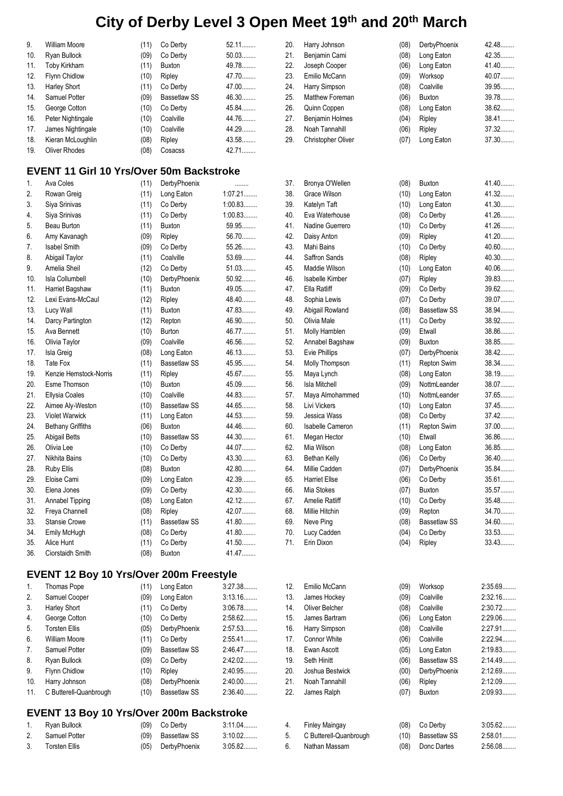| 9.  | <b>William Moore</b>                            | (11) | Co Derby            | 52.11     | 20. | Harry Johnson                           | (08) | DerbyPhoenix        | 42.48   |
|-----|-------------------------------------------------|------|---------------------|-----------|-----|-----------------------------------------|------|---------------------|---------|
| 10. | Ryan Bullock                                    | (09) | Co Derby            | $50.03$   | 21. | Benjamin Cami                           | (08) | Long Eaton          | 42.35   |
| 11. | Toby Kirkham                                    | (11) | <b>Buxton</b>       | 49.78     | 22. | Joseph Cooper                           | (06) | Long Eaton          | 41.40   |
| 12. | Flynn Chidlow                                   | (10) | Ripley              | 47.70     | 23. | Emilio McCann                           | (09) | Worksop             | 40.07   |
| 13. | Harley Short                                    | (11) | Co Derby            | 47.00     | 24. | Harry Simpson                           | (08) | Coalville           | 39.95   |
| 14. | Samuel Potter                                   | (09) | <b>Bassetlaw SS</b> | 46.30     | 25. | Matthew Foreman                         | (06) | Buxton              | 39.78   |
| 15. | George Cotton                                   | (10) | Co Derby            | 45.84     | 26. | Quinn Coppen                            | (08) | Long Eaton          | 38.62   |
| 16. | Peter Nightingale                               | (10) | Coalville           | 44.76     | 27. | Benjamin Holmes                         | (04) | Ripley              | 38.41   |
| 17. | James Nightingale                               | (10) | Coalville           | 44.29     | 28. | Noah Tannahill                          | (06) | Ripley              | 37.32   |
| 18. | Kieran McLoughlin                               | (08) | Ripley              | 43.58     | 29. | Christopher Oliver                      | (07) | Long Eaton          | 37.30   |
| 19. | <b>Oliver Rhodes</b>                            | (08) | Cosacss             | 42.71     |     |                                         |      |                     |         |
|     |                                                 |      |                     |           |     |                                         |      |                     |         |
|     | <b>EVENT 11 Girl 10 Yrs/Over 50m Backstroke</b> |      |                     |           |     |                                         |      |                     |         |
| 1.  | Ava Coles                                       | (11) | DerbyPhoenix        | .         | 37. | Bronya O'Wellen                         | (08) | <b>Buxton</b>       | 41.40   |
| 2.  | Rowan Greig                                     | (11) | Long Eaton          | 1:07.21   | 38. | Grace Wilson                            | (10) | Long Eaton          | 41.32   |
| 3.  | Siya Srinivas                                   | (11) | Co Derby            | 1:00.83   | 39. | Katelyn Taft                            | (10) | Long Eaton          | 41.30   |
| 4.  | Siya Srinivas                                   | (11) | Co Derby            | 1:00.83   | 40. | Eva Waterhouse                          | (08) | Co Derby            | 41.26   |
| 5.  | Beau Burton                                     | (11) | <b>Buxton</b>       | 59.95     | 41. | Nadine Guerrero                         | (10) | Co Derby            | 41.26   |
| 6.  | Amy Kavanagh                                    | (09) | Ripley              | 56.70     | 42. | Daisy Anton                             | (09) | Ripley              | 41.20   |
| 7.  | <b>Isabel Smith</b>                             | (09) | Co Derby            | 55.26     | 43. | Mahi Bains                              | (10) | Co Derby            | 40.60   |
| 8.  | Abigail Taylor                                  | (11) | Coalville           | 53.69     | 44. | Saffron Sands                           |      |                     | $40.30$ |
|     | Amelia Sheil                                    |      |                     | 51.03     | 45. |                                         | (08) | Ripley              | 40.06   |
| 9.  |                                                 | (12) | Co Derby            |           |     | Maddie Wilson<br><b>Isabelle Kimber</b> | (10) | Long Eaton          | 39.83   |
| 10. | <b>Isla Collumbell</b>                          | (10) | DerbyPhoenix        | $50.92$   | 46. |                                         | (07) | Ripley              |         |
| 11. | Harriet Bagshaw                                 | (11) | <b>Buxton</b>       | 49.05     | 47. | Ella Ratliff                            | (09) | Co Derby            | 39.62   |
| 12. | Lexi Evans-McCaul                               | (12) | Ripley              | 48.40     | 48. | Sophia Lewis                            | (07) | Co Derby            | 39.07   |
| 13. | Lucy Wall                                       | (11) | <b>Buxton</b>       | 47.83     | 49. | Abigail Rowland                         | (08) | <b>Bassetlaw SS</b> | 38.94   |
| 14. | Darcy Partington                                | (12) | Repton              | 46.90     | 50. | Olivia Male                             | (11) | Co Derby            | 38.92   |
| 15. | Ava Bennett                                     | (10) | Burton              | 46.77     | 51. | Molly Hamblen                           | (09) | Etwall              | 38.86   |
| 16. | Olivia Taylor                                   | (09) | Coalville           | 46.56     | 52. | Annabel Bagshaw                         | (09) | <b>Buxton</b>       | 38.85   |
| 17. | Isla Greig                                      | (08) | Long Eaton          | 46.13.    | 53. | <b>Evie Phillips</b>                    | (07) | DerbyPhoenix        | $38.42$ |
| 18. | Tate Fox                                        | (11) | <b>Bassetlaw SS</b> | 45.95     | 54. | Molly Thompson                          | (11) | Repton Swim         | 38.34   |
| 19. | Kenzie Hemstock-Norris                          | (11) | Ripley              | 45.67     | 55. | Maya Lynch                              | (08) | Long Eaton          | 38.19   |
| 20. | Esme Thomson                                    | (10) | <b>Buxton</b>       | 45.09     | 56. | <b>Isla Mitchell</b>                    | (09) | NottmLeander        | 38.07   |
| 21. | <b>Ellysia Coales</b>                           | (10) | Coalville           | 44.83     | 57. | Maya Almohammed                         | (10) | NottmLeander        | 37.65   |
| 22. | Aimee Aly-Weston                                | (10) | <b>Bassetlaw SS</b> | 44.65     | 58. | Livi Vickers                            | (10) | Long Eaton          | 37.45   |
| 23. | <b>Violet Warwick</b>                           | (11) | Long Eaton          | 44.53     | 59. | Jessica Wass                            | (08) | Co Derby            | 37.42   |
| 24. | <b>Bethany Griffiths</b>                        | (06) | <b>Buxton</b>       | 44.46     | 60. | Isabelle Cameron                        | (11) | Repton Swim         | 37.00   |
| 25. | <b>Abigail Betts</b>                            | (10) | <b>Bassetlaw SS</b> | 44.30     | 61. | Megan Hector                            | (10) | Etwall              | 36.86   |
| 26. | Olivia Lee                                      | (10) | Co Derby            | 44.07     | 62. | Mia Wilson                              | (08) | Long Eaton          | 36.85   |
| 27. | Nikhita Bains                                   | (10) | Co Derby            | 43.30     | 63. | Bethan Kelly                            | (06) | Co Derby            | 36.40   |
| 28. | Ruby Ellis                                      | (08) | <b>Buxton</b>       | 42.80     | 64. | Millie Cadden                           | (07) | DerbyPhoenix        | 35.84   |
| 29. | Eloise Cami                                     | (09) | Long Eaton          | 42.39     | 65. | <b>Harriet Ellse</b>                    | (06) | Co Derby            | 35.61   |
| 30. | Elena Jones                                     | (09) | Co Derby            | 42.30     | 66. | Mia Stokes                              | (07) | Buxton              | 35.57   |
| 31. | Annabel Tipping                                 | (08) | Long Eaton          | 42.12     | 67. | Amelie Ratliff                          | (10) | Co Derby            | 35.48   |
| 32. | Freya Channell                                  | (08) | Ripley              | 42.07     | 68. | Millie Hitchin                          | (09) | Repton              | 34.70   |
| 33. | <b>Stansie Crowe</b>                            | (11) | <b>Bassetlaw SS</b> | 41.80     | 69. | Neve Ping                               | (08) | <b>Bassetlaw SS</b> | 34.60   |
| 34. | Emily McHugh                                    | (08) | Co Derby            | 41.80     | 70. | Lucy Cadden                             | (04) | Co Derby            | 33.53   |
| 35. | Alice Hunt                                      | (11) | Co Derby            | 41.50     | 71. | Erin Dixon                              | (04) | Ripley              | 33.43.  |
| 36. | Ciorstaidh Smith                                | (08) | <b>Buxton</b>       | 41.47     |     |                                         |      |                     |         |
|     |                                                 |      |                     |           |     |                                         |      |                     |         |
|     | <b>EVENT 12 Boy 10 Yrs/Over 200m Freestyle</b>  |      |                     |           |     |                                         |      |                     |         |
| 1.  | Thomas Pope                                     | (11) | Long Eaton          | 3:27.38   | 12. | Emilio McCann                           | (09) | Worksop             | 2:35.69 |
| 2.  | Samuel Cooper                                   | (09) | Long Eaton          | 3:13.16   | 13. | James Hockey                            | (09) | Coalville           | 2:32.16 |
| 3.  | <b>Harley Short</b>                             | (11) | Co Derby            | 3:06.78   | 14. | Oliver Belcher                          | (08) | Coalville           | 2:30.72 |
|     |                                                 |      |                     | 2:58.62   | 15. | James Bartram                           |      |                     | 2:29.06 |
| 4.  | George Cotton                                   | (10) | Co Derby            |           |     |                                         | (06) | Long Eaton          |         |
| 5.  | <b>Torsten Ellis</b>                            | (05) | DerbyPhoenix        | 2:57.53   | 16. | Harry Simpson                           | (08) | Coalville           | 2:27.91 |
| 6.  | <b>William Moore</b>                            | (11) | Co Derby            | 2:55.41   | 17. | Connor White                            | (06) | Coalville           | 2:22.94 |
| 7.  | Samuel Potter                                   | (09) | <b>Bassetlaw SS</b> | 2:46.47   | 18. | Ewan Ascott                             | (05) | Long Eaton          | 2:19.83 |
| 8.  | Ryan Bullock                                    | (09) | Co Derby            | 2:42.02   | 19. | Seth Hinitt                             | (06) | <b>Bassetlaw SS</b> | 2:14.49 |
| 9.  | <b>Flynn Chidlow</b>                            | (10) | Ripley              | 2:40.95   | 20. | Joshua Bestwick                         | (00) | DerbyPhoenix        | 2:12.69 |
| 10. | Harry Johnson                                   | (08) | DerbyPhoenix        | 2:40.00   | 21. | Noah Tannahill                          | (06) | Ripley              | 2:12.09 |
| 11. | C Butterell-Quanbrough                          | (10) | <b>Bassetlaw SS</b> | 2:36.40   | 22. | James Ralph                             | (07) | <b>Buxton</b>       | 2:09.93 |
|     |                                                 |      |                     |           |     |                                         |      |                     |         |
|     | EVENT 13 Boy 10 Yrs/Over 200m Backstroke        |      |                     |           |     |                                         |      |                     |         |
| 1.  | Ryan Bullock                                    | (09) | Co Derby            | $3:11.04$ | 4.  | <b>Finley Maingay</b>                   | (08) | Co Derby            | 3:05.62 |

5. C Butterell-Quanbrough (10) Bassetlaw SS 2:58.01........ 6. Nathan Massam (08) Donc Dartes 2:56.08........

2. Samuel Potter (09) Bassetlaw SS 3:10.02........ 3. Torsten Ellis (05) DerbyPhoenix 3:05.82........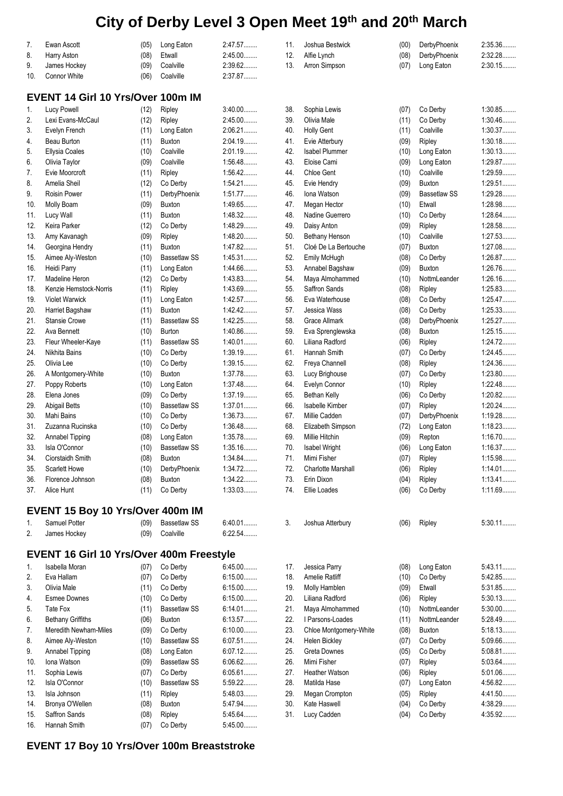|    | Ewan Ascott                          | (05) | Long Eaton | 2:47.57   | 11. | Joshua Bestwick | (00) | DerbyPhoenix | 2:35.36 |
|----|--------------------------------------|------|------------|-----------|-----|-----------------|------|--------------|---------|
| 8. | Harry Aston                          | (08) | Etwall     | $2.45.00$ | 12. | Alfie Lynch     | (08) | DerbyPhoenix | 2:32.28 |
| 9. | James Hockey                         | (09) | Coalville  | $2:39.62$ | 13. | Arron Simpson   | (07) | Long Eaton   | 2:30.15 |
|    | 10. Connor White                     | (06) | Coalville  | 2:37.87   |     |                 |      |              |         |
|    | $E$ VENT 14 Girl 10 VrolOver 100m IM |      |            |           |     |                 |      |              |         |

### **EVENT 14 Girl 10 Yrs/Over 100m IM**

| 1.  | Lucy Powell                      | (12) | Ripley              | $3:40.00$ |
|-----|----------------------------------|------|---------------------|-----------|
| 2.  | Lexi Evans-McCaul                | (12) | Ripley              | $2:45.00$ |
| 3.  | Evelyn French                    | (11) | Long Eaton          | 2:06.21   |
| 4.  | <b>Beau Burton</b>               | (11) | <b>Buxton</b>       | 2:04.19   |
| 5.  | <b>Ellysia Coales</b>            | (10) | Coalville           | 2:01.19   |
| 6.  | Olivia Taylor                    | (09) | Coalville           | 1:56.48   |
| 7.  | Evie Moorcroft                   | (11) | Ripley              | 1:56.42   |
| 8.  | Amelia Sheil                     | (12) | Co Derby            | $1:54.21$ |
| 9.  | <b>Roisin Power</b>              | (11) | DerbyPhoenix        | 1:51.77   |
| 10. | Molly Boam                       | (09) | Buxton              | 1:49.65   |
| 11. | Lucy Wall                        | (11) | <b>Buxton</b>       | 1:48.32   |
| 12. | Keira Parker                     | (12) | Co Derby            | 1:48.29   |
| 13. | Amy Kavanagh                     | (09) | Ripley              | 1:48.20   |
| 14. | Georgina Hendry                  | (11) | <b>Buxton</b>       | 1:47.82   |
| 15. | Aimee Aly-Weston                 | (10) | <b>Bassetlaw SS</b> | 1:45.31   |
| 16. | Heidi Parry                      | (11) | Long Eaton          | 1:44.66   |
| 17. | Madeline Heron                   | (12) | Co Derby            | 1:43.83   |
| 18. | Kenzie Hemstock-Norris           | (11) | Ripley              | 1:43.69   |
| 19. | <b>Violet Warwick</b>            | (11) | Long Eaton          | 1.42.57   |
| 20. | Harriet Bagshaw                  | (11) | <b>Buxton</b>       | 1:42.42   |
| 21. | <b>Stansie Crowe</b>             | (11) | <b>Bassetlaw SS</b> | 1:42.25   |
| 22. | Ava Bennett                      | (10) | <b>Burton</b>       | 1:40.86   |
| 23. | Fleur Wheeler-Kaye               | (11) | <b>Bassetlaw SS</b> | $1:40.01$ |
| 24. | Nikhita Bains                    | (10) | Co Derby            | 1:39.19   |
| 25. | Olivia Lee                       | (10) | Co Derby            | 1:39.15   |
| 26. | A Montgomery-White               | (10) | <b>Buxton</b>       | 1:37.78   |
| 27. | Poppy Roberts                    | (10) | Long Eaton          | 1:37.48   |
| 28. | Elena Jones                      | (09) | Co Derby            | 1:37.19   |
| 29. | <b>Abigail Betts</b>             | (10) | <b>Bassetlaw SS</b> | $1:37.01$ |
| 30. | Mahi Bains                       | (10) | Co Derby            | 1:36.73   |
| 31. | Zuzanna Rucinska                 | (10) | Co Derby            | 1:36.48   |
| 32. | Annabel Tipping                  | (08) | Long Eaton          | 1:35.78   |
| 33. | Isla O'Connor                    | (10) | <b>Bassetlaw SS</b> | 1:35.16   |
| 34. | Ciorstaidh Smith                 | (08) | <b>Buxton</b>       | 1:34.84   |
| 35. | <b>Scarlett Howe</b>             | (10) | DerbyPhoenix        | 1:34.72   |
| 36. | Florence Johnson                 | (08) | <b>Buxton</b>       | 1:34.22   |
| 37. | Alice Hunt                       | (11) | Co Derby            | 1:33.03   |
|     | EVENT 15 Boy 10 Yrs/Over 400m IM |      |                     |           |
| 1.  | <b>Samuel Potter</b>             | (09) | <b>Bassetlaw SS</b> | $6:40.01$ |
| 2.  | James Hockev                     | (09) | Coalville           | 6:22.54   |

### **EVENT 16 Girl 10 Yrs/Over 400m Freestyle**

| 1.  | <b>Isabella Moran</b>        | (07) | Co Derby            | $6:45.00$ |
|-----|------------------------------|------|---------------------|-----------|
| 2.  | Eva Hallam                   | (07) | Co Derby            | $6:15.00$ |
| 3.  | Olivia Male                  | (11) | Co Derby            | $6:15.00$ |
| 4.  | <b>Esmee Downes</b>          | (10) | Co Derby            | $6:15.00$ |
| 5.  | Tate Fox                     | (11) | <b>Bassetlaw SS</b> | $6:14.01$ |
| 6.  | <b>Bethany Griffiths</b>     | (06) | <b>Buxton</b>       | 6:13.57   |
| 7.  | <b>Meredith Newham-Miles</b> | (09) | Co Derby            | $6:10.00$ |
| 8.  | Aimee Aly-Weston             | (10) | <b>Bassetlaw SS</b> | 6:07.51   |
| 9.  | Annabel Tipping              | (08) | Long Eaton          | 6:07.12   |
| 10. | Iona Watson                  | (09) | <b>Bassetlaw SS</b> | 6:06.62   |
| 11. | Sophia Lewis                 | (07) | Co Derby            | 6:05.61   |
| 12. | Isla O'Connor                | (10) | <b>Bassetlaw SS</b> | $5:59.22$ |
| 13. | Isla Johnson                 | (11) | Ripley              | 5:48.03   |
| 14. | Bronya O'Wellen              | (08) | Buxton              | 5:47.94   |
| 15. | Saffron Sands                | (08) | Ripley              | 5:45.64   |
| 16. | Hannah Smith                 | (07) | Co Derby            | $5:45.00$ |

| 38.            | Sophia Lewis                        | (07) | Co Derby            | 1:30.85       |
|----------------|-------------------------------------|------|---------------------|---------------|
| 39.            | Olivia Male                         | (11) | Co Derby            | 1:30.46       |
| 40.            | <b>Holly Gent</b>                   | (11) | Coalville           | 1:30.37       |
| 41.            | Evie Atterbury                      | (09) | Ripley              | 1:30.18       |
| 42.            | <b>Isabel Plummer</b>               | (10) | Long Eaton          | 1:30.13       |
| 43.            | Eloise Cami                         | (09) | Long Eaton          | 1:29.87       |
| 44.            | <b>Chloe Gent</b>                   | (10) | Coalville           | 1:29.59       |
| 45.            | Evie Hendry                         | (09) | Buxton              | 1:29.51       |
| 46.            | Iona Watson                         | (09) | <b>Bassetlaw SS</b> | 1:29.28       |
| 47.            | Megan Hector                        | (10) | Etwall              | 1:28.98       |
| 48.            | Nadine Guerrero                     | (10) | Co Derby            | 1:28.64       |
| 49.            | Daisy Anton                         | (09) | Ripley              | 1:28.58       |
| 50.            | Bethany Henson                      | (10) | Coalville           | 1:27.53       |
| 51.            | Cloé De La Bertouche                | (07) | <b>Buxton</b>       | 1:27.08       |
| 52.            | Emily McHugh                        | (08) | Co Derby            | 1:26.87       |
| 53.            | Annabel Bagshaw                     | (09) | <b>Buxton</b>       | 1:26.76       |
| 54.            | Maya Almohammed                     | (10) | NottmLeander        | 1:26.16       |
| 55.            | Saffron Sands                       | (08) | Ripley              | 1:25.83       |
| 56.            | Eva Waterhouse                      | (08) | Co Derby            | 1:25.47       |
| 57.            | Jessica Wass                        | (08) | Co Derby            | 1:25.33       |
| 58.            | <b>Grace Allmark</b>                | (08) | DerbyPhoenix        | 1:25.27       |
| 59.            | Eva Sprenglewska                    | (08) | Buxton              | 1:25.15       |
| 60.            | Liliana Radford                     | (06) | Ripley              | 1:24.72       |
| 61.            | Hannah Smith                        | (07) | Co Derby            | 1:24.45       |
| 62.            | Freya Channell                      | (08) | Ripley              | 1:24.36       |
| 63.            | Lucy Brighouse                      | (07) | Co Derby            | 1:23.80       |
| 64.            | Evelyn Connor                       | (10) | Ripley              | 1:22.48       |
| 65.            | Bethan Kelly                        | (06) | Co Derby            | 1:20.82       |
| 66.            | <b>Isabelle Kimber</b>              | (07) | Ripley              | 1:20.24       |
| 67.            | Millie Cadden                       | (07) | DerbyPhoenix        | 1:19.28       |
| 68.            | Elizabeth Simpson                   | (72) | Long Eaton          | 1:18.23       |
| 69.            | Millie Hitchin                      | (09) | Repton              | 1:16.70       |
| 70.            | <b>Isabel Wright</b>                | (06) | Long Eaton          | 1:16.37       |
| 71.            | Mimi Fisher                         | (07) | Ripley              | 1:15.98       |
| 72.            | <b>Charlotte Marshall</b>           | (06) | Ripley              | 1:14.01       |
| 73.            | Erin Dixon                          | (04) | Ripley              | 1:13.41       |
| 74.            | Ellie Loades                        | (06) | Co Derby            | 1:11.69       |
| 3.             | Joshua Atterbury                    | (06) | Ripley              | $5:30.11$     |
| 17.            | Jessica Parry                       | (08) | Long Eaton          | 5:43.11       |
| $\overline{A}$ | $A \rightarrow B$ $B \rightarrow B$ | (40) | $O = D + 4$         | $F: A \cap R$ |

| 17. | Jessica Parry          | (08) | Long Eaton    | 5:43.11.<br>. |
|-----|------------------------|------|---------------|---------------|
| 18. | <b>Amelie Ratliff</b>  | (10) | Co Derby      | 5:42.85       |
| 19. | Molly Hamblen          | (09) | Etwall        | 5:31.85       |
| 20. | Liliana Radford        | (06) | Ripley        | 5:30.13       |
| 21. | Maya Almohammed        | (10) | NottmLeander  | $5:30.00$     |
| 22. | I Parsons-Loades       | (11) | NottmLeander  | 5:28.49       |
| 23. | Chloe Montgomery-White | (08) | <b>Buxton</b> | 5:18.13       |
| 24. | Helen Bickley          | (07) | Co Derby      | 5:09.66       |
| 25. | Greta Downes           | (05) | Co Derby      | 5:08.81       |
| 26. | Mimi Fisher            | (07) | Ripley        | 5:03.64       |
| 27. | Heather Watson         | (06) | Ripley        | 5:01.06       |
| 28. | Matilda Hase           | (07) | Long Eaton    | 4:56.82       |
| 29. | Megan Crompton         | (05) | Ripley        | 4:41.50       |
| 30. | Kate Haswell           | (04) | Co Derby      | 4:38.29       |
| 31. | Lucy Cadden            | (04) | Co Derby      | 4:35.92       |

### **EVENT 17 Boy 10 Yrs/Over 100m Breaststroke**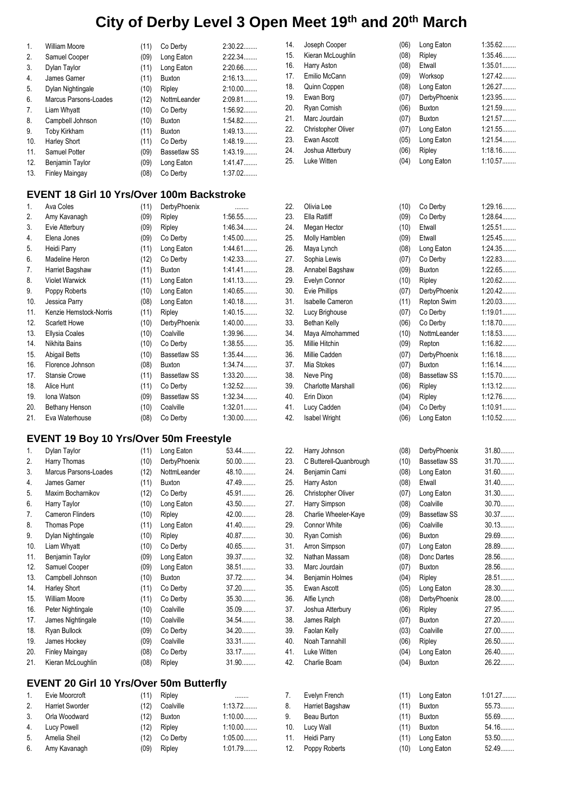| 1.  | William Moore         | (11) | Co Derby            | $2:30.22$ |
|-----|-----------------------|------|---------------------|-----------|
|     |                       |      |                     |           |
| 2.  | Samuel Cooper         | (09) | Long Eaton          | $2:22.34$ |
| 3.  | Dylan Taylor          | (11) | Long Eaton          | 2:20.66   |
| 4.  | James Garner          | (11) | <b>Buxton</b>       | 2:16.13   |
| 5.  | Dylan Nightingale     | (10) | Ripley              | $2:10.00$ |
| 6.  | Marcus Parsons-Loades | (12) | NottmLeander        | 2:09.81   |
| 7.  | Liam Whyatt           | (10) | Co Derby            | 1:56.92   |
| 8.  | Campbell Johnson      | (10) | <b>Buxton</b>       | 1:54.82   |
| 9.  | Toby Kirkham          | (11) | <b>Buxton</b>       | 1:49.13   |
| 10. | Harley Short          | (11) | Co Derby            | 1:48.19   |
| 11. | Samuel Potter         | (09) | <b>Bassetlaw SS</b> | 1.43.19   |
| 12. | Benjamin Taylor       | (09) | Long Eaton          | 1.41.47   |
| 13. | <b>Finley Maingay</b> | (08) | Co Derby            | $1:37.02$ |
|     |                       |      |                     |           |

### **EVENT 18 Girl 10 Yrs/Over 100m Backstroke**

| 1.  | Ava Coles              | (11) | DerbyPhoenix        |           |
|-----|------------------------|------|---------------------|-----------|
| 2.  | Amy Kavanagh           | (09) | Ripley              | 1:56.55   |
| 3.  | Evie Atterbury         | (09) | Ripley              | 1:46.34   |
| 4.  | Elena Jones            | (09) | Co Derby            | $1:45.00$ |
| 5.  | Heidi Parry            | (11) | Long Eaton          | 1:44.61   |
| 6.  | Madeline Heron         | (12) | Co Derby            | 1:42.33   |
| 7.  | Harriet Bagshaw        | (11) | Buxton              | 1.41.41   |
| 8.  | <b>Violet Warwick</b>  | (11) | Long Eaton          | 1:41.13   |
| 9.  | Poppy Roberts          | (10) | Long Eaton          | 1:40.65   |
| 10. | Jessica Parry          | (08) | Long Eaton          | 1:40.18   |
| 11. | Kenzie Hemstock-Norris | (11) | Ripley              | 1:40.15   |
| 12. | <b>Scarlett Howe</b>   | (10) | DerbyPhoenix        | 1:40.00   |
| 13. | <b>Ellysia Coales</b>  | (10) | Coalville           | 1:39.96   |
| 14. | Nikhita Bains          | (10) | Co Derby            | 1:38.55   |
| 15. | Abigail Betts          | (10) | <b>Bassetlaw SS</b> | $1:35.44$ |
| 16. | Florence Johnson       | (08) | <b>Buxton</b>       | 1:34.74   |
| 17. | <b>Stansie Crowe</b>   | (11) | <b>Bassetlaw SS</b> | $1:33.20$ |
| 18. | Alice Hunt             | (11) | Co Derby            | 1:32.52   |
| 19. | Iona Watson            | (09) | <b>Bassetlaw SS</b> | $1:32.34$ |
| 20. | Bethany Henson         | (10) | Coalville           | 1:32.01   |
| 21. | Eva Waterhouse         | (08) | Co Derby            | $1:30.00$ |

### **EVENT 19 Boy 10 Yrs/Over 50m Freestyle**

| 1.  | Dylan Taylor          | (11) | Long Eaton   | 53.44 |
|-----|-----------------------|------|--------------|-------|
| 2.  | Harry Thomas          | (10) | DerbyPhoenix | 50.00 |
| 3.  | Marcus Parsons-Loades | (12) | NottmLeander | 48.10 |
| 4.  | James Garner          | (11) | Buxton       | 47.49 |
| 5.  | Maxim Bocharnikov     | (12) | Co Derby     | 45.91 |
| 6.  | Harry Taylor          | (10) | Long Eaton   | 43.50 |
| 7.  | Cameron Flinders      | (10) | Ripley       | 42.00 |
| 8.  | <b>Thomas Pope</b>    | (11) | Long Eaton   | 41.40 |
| 9.  | Dylan Nightingale     | (10) | Ripley       | 40.87 |
| 10. | Liam Whyatt           | (10) | Co Derby     | 40.65 |
| 11. | Benjamin Taylor       | (09) | Long Eaton   | 39.37 |
| 12. | Samuel Cooper         | (09) | Long Eaton   | 38.51 |
| 13. | Campbell Johnson      | (10) | Buxton       | 37.72 |
| 14. | Harley Short          | (11) | Co Derby     | 37.20 |
| 15. | <b>William Moore</b>  | (11) | Co Derby     | 35.30 |
| 16. | Peter Nightingale     | (10) | Coalville    | 35.09 |
| 17. | James Nightingale     | (10) | Coalville    | 34.54 |
| 18. | Ryan Bullock          | (09) | Co Derby     | 34.20 |
| 19. | James Hockey          | (09) | Coalville    | 33.31 |
| 20. | <b>Finley Maingay</b> | (08) | Co Derby     | 33.17 |
| 21. | Kieran McLoughlin     | (08) | Ripley       | 31.90 |

### **EVENT 20 Girl 10 Yrs/Over 50m Butterfly**

| 1. Evie Moorcroft      | (11) |        |                                           |
|------------------------|------|--------|-------------------------------------------|
| <b>Harriet Sworder</b> | (12) |        | 1:13.72                                   |
| 3. Orla Woodward       | (12) | Buxton | $1:10.00$                                 |
| 4. Lucy Powell         | (12) |        | $1:10.00$                                 |
| Amelia Sheil           | (12) |        | $1:05.00$                                 |
| 6. Amy Kavanagh        | (09) | Ripley | 1:01.79                                   |
|                        |      |        | Ripley<br>Coalville<br>Ripley<br>Co Derby |

| 14. | Joseph Cooper             | (06) | Long Eaton    | 1:35.62   |
|-----|---------------------------|------|---------------|-----------|
| 15. | Kieran McLoughlin         | (08) | Ripley        | 1:35.46   |
| 16. | Harry Aston               | (08) | Etwall        | $1:35.01$ |
| 17. | Emilio McCann             | (09) | Worksop       | $1:27.42$ |
| 18. | Quinn Coppen              | (08) | Long Eaton    | 1:26.27   |
| 19. | Ewan Borg                 | (07) | DerbyPhoenix  | 1:23.95   |
| 20. | Ryan Cornish              | (06) | <b>Buxton</b> | 1:21.59   |
| 21. | Marc Jourdain             | (07) | <b>Buxton</b> | 1:21.57   |
| 22. | <b>Christopher Oliver</b> | (07) | Long Eaton    | 1:21.55   |
| 23. | Ewan Ascott               | (05) | Long Eaton    | 1:21.54   |
| 24. | Joshua Atterbury          | (06) | Ripley        | 1:18.16   |
| 25. | Luke Witten               | (04) | Long Eaton    | 1:10.57   |
|     |                           |      |               |           |

| 22. | Olivia Lee                | (10) | Co Derby      | 1:29.16   |
|-----|---------------------------|------|---------------|-----------|
| 23. | Ella Ratliff              | (09) | Co Derby      | 1:28.64   |
| 24. | Megan Hector              | (10) | Etwall        | 1:25.51   |
| 25. | Molly Hamblen             | (09) | Etwall        | 1:25.45   |
| 26. | Maya Lynch                | (08) | Long Eaton    | 1:24.35   |
| 27. | Sophia Lewis              | (07) | Co Derby      | 1:22.83   |
| 28. | Annabel Bagshaw           | (09) | <b>Buxton</b> | 1:22.65   |
| 29. | Evelyn Connor             | (10) | Ripley        | 1:20.62   |
| 30. | Evie Phillips             | (07) | DerbyPhoenix  | $1:20.42$ |
| 31. | <b>Isabelle Cameron</b>   | (11) | Repton Swim   | 1:20.03   |
| 32. | Lucy Brighouse            | (07) | Co Derby      | 1:19.01   |
| 33. | Bethan Kelly              | (06) | Co Derby      | 1:18.70   |
| 34. | Maya Almohammed           | (10) | NottmLeander  | 1:18.53   |
| 35. | Millie Hitchin            | (09) | Repton        | 1:16.82   |
| 36. | Millie Cadden             | (07) | DerbyPhoenix  | 1:16.18   |
| 37. | Mia Stokes                | (07) | Buxton        | 1:16.14   |
| 38. | Neve Ping                 | (08) | Bassetlaw SS  | $1:15.70$ |
| 39. | <b>Charlotte Marshall</b> | (06) | Ripley        | $1:13.12$ |
| 40. | Erin Dixon                | (04) | Ripley        | 1:12.76   |
| 41. | Lucy Cadden               | (04) | Co Derby      | 1:10.91   |
| 42. | <b>Isabel Wright</b>      | (06) | Long Eaton    | 1:10.52.  |

| 22. | Harry Johnson          | (08) | DerbyPhoenix        | 31.80   |
|-----|------------------------|------|---------------------|---------|
| 23. | C Butterell-Quanbrough | (10) | <b>Bassetlaw SS</b> | 31.70   |
| 24. | Benjamin Cami          | (08) | Long Eaton          | 31.60   |
| 25. | Harry Aston            | (08) | Etwall              | 31.40.  |
| 26. | Christopher Oliver     | (07) | Long Eaton          | 31.30   |
| 27. | Harry Simpson          | (08) | Coalville           | 30.70   |
| 28. | Charlie Wheeler-Kaye   | (09) | Bassetlaw SS        | 30.37   |
| 29. | <b>Connor White</b>    | (06) | Coalville           | 30.13   |
| 30. | Ryan Cornish           | (06) | <b>Buxton</b>       | 29.69   |
| 31. | Arron Simpson          | (07) | Long Eaton          | 28.89   |
| 32. | Nathan Massam          | (08) | Donc Dartes         | 28.56   |
| 33. | Marc Jourdain          | (07) | <b>Buxton</b>       | 28.56   |
| 34. | Benjamin Holmes        | (04) | Ripley              | 28.51   |
| 35. | Ewan Ascott            | (05) | Long Eaton          | 28.30   |
| 36. | Alfie Lynch            | (08) | DerbyPhoenix        | 28.00   |
| 37. | Joshua Atterbury       | (06) | Ripley              | 27.95   |
| 38. | James Ralph            | (07) | Buxton              | 27.20   |
| 39. | Faolan Kelly           | (03) | Coalville           | 27.00   |
| 40. | Noah Tannahill         | (06) | Ripley              | 26.50   |
| 41. | Luke Witten            | (04) | Long Eaton          | 26.40   |
| 42. | Charlie Boam           | (04) | <b>Buxton</b>       | 26.22   |
|     |                        |      |                     |         |
| 7.  | Evelyn French          | (11) | Long Eaton          | 1:01.27 |
| 8.  | Harriet Bagshaw        | (11) | <b>Buxton</b>       | 55.73   |

| (09) | Etwall              | 1:25.45 |
|------|---------------------|---------|
| (08) | Long Eaton          | 1:24.35 |
| (07) | Co Derby            | 1:22.83 |
| (09) | <b>Buxton</b>       | 1:22.65 |
| (10) | Ripley              | 1:20.62 |
| (07) | DerbyPhoenix        | 1:20.42 |
| (11) | Repton Swim         | 1:20.03 |
| (07) | Co Derby            | 1:19.01 |
| (06) | Co Derby            | 1:18.70 |
| (10) | NottmLeander        | 1:18.53 |
| (09) | Repton              | 1:16.82 |
| (07) | DerbyPhoenix        | 1:16.18 |
| (07) | <b>Buxton</b>       | 1:16.14 |
| (08) | <b>Bassetlaw SS</b> | 1:15.70 |
| (06) | Ripley              | 1:13.12 |
| (04) | Ripley              | 1:12.76 |
| (04) | Co Derby            | 1:10.91 |
| (06) | Long Eaton          | 1:10.52 |
|      |                     |         |
|      |                     |         |
| (08) | DerbyPhoenix        | 31.80   |
| (10) | <b>Bassetlaw SS</b> | 31.70   |
| (08) | Long Eaton          | 31.60   |
| (08) | Etwall              | 31.40   |
| (07) | Long Eaton          | 31.30   |
| (08) | Coalville           | 30.70   |
| (09) | <b>Bassetlaw SS</b> | 30.37   |
| (06) | Coalville           | 30.13   |
| (06) | <b>Buxton</b>       | 29.69   |
| (07) | Long Eaton          | 28.89   |

| 31. | Arron Simpson    | (07) | Long Eaton    | 28.89   |
|-----|------------------|------|---------------|---------|
| 32. | Nathan Massam    | (08) | Donc Dartes   | 28.56   |
| 33. | Marc Jourdain    | (07) | <b>Buxton</b> | 28.56   |
| 34. | Benjamin Holmes  | (04) | Ripley        | 28.51   |
| 35. | Ewan Ascott      | (05) | Long Eaton    | 28.30   |
| 36. | Alfie Lynch      | (08) | DerbyPhoenix  | $28.00$ |
| 37. | Joshua Atterbury | (06) | Ripley        | 27.95   |
| 38. | James Ralph      | (07) | Buxton        | $27.20$ |
| 39. | Faolan Kelly     | (03) | Coalville     | 27.00   |
| 40. | Noah Tannahill   | (06) | Ripley        | 26.50   |
| 41. | Luke Witten      | (04) | Long Eaton    | 26.40   |
| 42. | Charlie Boam     | (04) | Buxton        | 26.22   |
| 7.  | Evelyn French    | (11) | Long Eaton    | 1:01.27 |
| 8.  | Harriet Bagshaw  | (11) | <b>Buxton</b> | 55.73   |
| 9.  | Beau Burton      | (11) | <b>Buxton</b> | 55.69   |
| 10. | Lucy Wall        | (11) | <b>Buxton</b> | 54.16   |
| 11. | Heidi Parry      | (11) | Long Eaton    | 53.50   |
| 12. | Poppy Roberts    | (10) | Long Eaton    | 52.49   |
|     |                  |      |               |         |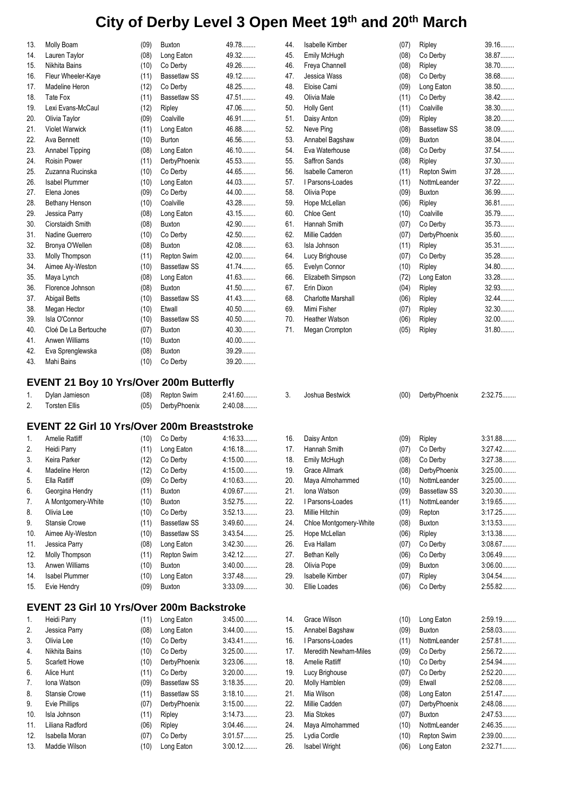| 13. | Molly Boam            | (09) | <b>Buxton</b>       | 49.78   |
|-----|-----------------------|------|---------------------|---------|
| 14. | Lauren Taylor         | (08) | Long Eaton          | 49.32   |
| 15. | Nikhita Bains         | (10) | Co Derby            | 49.26   |
| 16. | Fleur Wheeler-Kaye    | (11) | <b>Bassetlaw SS</b> | 49.12   |
| 17. | Madeline Heron        | (12) | Co Derby            | 48.25   |
| 18. | Tate Fox              | (11) | <b>Bassetlaw SS</b> | 47.51   |
| 19. | Lexi Evans-McCaul     | (12) | Ripley              | 47.06   |
| 20. | Olivia Taylor         | (09) | Coalville           | 46.91   |
| 21. | <b>Violet Warwick</b> | (11) | Long Eaton          | 46.88   |
| 22. | Ava Bennett           | (10) | <b>Burton</b>       | 46.56   |
| 23. | Annabel Tipping       | (08) | Long Eaton          | 46.10   |
| 24. | <b>Roisin Power</b>   | (11) | DerbyPhoenix        | 45.53   |
| 25. | Zuzanna Rucinska      | (10) | Co Derby            | 44.65   |
| 26. | <b>Isabel Plummer</b> | (10) | Long Eaton          | 44.03   |
| 27. | Elena Jones           | (09) | Co Derby            | 44.00   |
| 28. | Bethany Henson        | (10) | Coalville           | 43.28   |
| 29. | Jessica Parry         | (08) | Long Eaton          | 43.15   |
| 30. | Ciorstaidh Smith      | (08) | <b>Buxton</b>       | 42.90   |
| 31. | Nadine Guerrero       | (10) | Co Derby            | 42.50   |
| 32. | Bronya O'Wellen       | (08) | <b>Buxton</b>       | 42.08   |
| 33. | Molly Thompson        | (11) | Repton Swim         | 42.00   |
| 34. | Aimee Aly-Weston      | (10) | <b>Bassetlaw SS</b> | 41.74   |
| 35. | Maya Lynch            | (08) | Long Eaton          | 41.63   |
| 36. | Florence Johnson      | (08) | <b>Buxton</b>       | 41.50   |
| 37. | Abigail Betts         | (10) | Bassetlaw SS        | 41.43   |
| 38. | Megan Hector          | (10) | Etwall              | $40.50$ |
| 39. | Isla O'Connor         | (10) | <b>Bassetlaw SS</b> | 40.50   |
| 40. | Cloé De La Bertouche  | (07) | <b>Buxton</b>       | 40.30   |
| 41. | Anwen Williams        | (10) | <b>Buxton</b>       | $40.00$ |
| 42. | Eva Sprenglewska      | (08) | <b>Buxton</b>       | 39.29   |
| 43. | Mahi Bains            | (10) | Co Derby            | $39.20$ |
|     |                       |      |                     |         |

### **EVENT 21 Boy 10 Yrs/Over 200m Butterfly**

| Dylan Jamieson | (08) Repton Swim  | 2:41.60 |
|----------------|-------------------|---------|
| Torsten Ellis  | (05) DerbyPhoenix | 2:40.08 |

### **EVENT 22 Girl 10 Yrs/Over 200m Breaststroke**

| 1.  | <b>Amelie Ratliff</b> | (10) | Co Derby            | 4:16.33   |
|-----|-----------------------|------|---------------------|-----------|
| 2.  | Heidi Parry           | (11) | Long Eaton          | 4:16.18   |
| 3.  | Keira Parker          | (12) | Co Derby            | $4:15.00$ |
| 4.  | Madeline Heron        | (12) | Co Derby            | $4:15.00$ |
| 5.  | Ella Ratliff          | (09) | Co Derby            | 4:10.63   |
| 6.  | Georgina Hendry       | (11) | <b>Buxton</b>       | 4:09.67   |
| 7.  | A Montgomery-White    | (10) | <b>Buxton</b>       | 3:52.75   |
| 8.  | Olivia Lee            | (10) | Co Derby            | 3:52.13   |
| 9.  | <b>Stansie Crowe</b>  | (11) | <b>Bassetlaw SS</b> | $3:49.60$ |
| 10. | Aimee Aly-Weston      | (10) | <b>Bassetlaw SS</b> | 3:43.54   |
| 11. | Jessica Parry         | (08) | Long Eaton          | 3:42.30   |
| 12. | Molly Thompson        | (11) | Repton Swim         | 3:42.12   |
| 13. | Anwen Williams        | (10) | Buxton              | $3:40.00$ |
| 14. | <b>Isabel Plummer</b> | (10) | Long Eaton          | 3:37.48   |
| 15. | Evie Hendry           | (09) | <b>Buxton</b>       | 3:33.09   |

### **EVENT 23 Girl 10 Yrs/Over 200m Backstroke**

| 1.  | Heidi Parry          | (11) | Long Eaton          | $3:45.00$ |
|-----|----------------------|------|---------------------|-----------|
| 2.  | Jessica Parry        | (08) | Long Eaton          | $3:44.00$ |
| 3.  | Olivia Lee           | (10) | Co Derby            | $3:43.41$ |
| 4.  | Nikhita Bains        | (10) | Co Derby            | $3:25.00$ |
| 5.  | Scarlett Howe        | (10) | DerbyPhoenix        | 3:23.06   |
| 6.  | Alice Hunt           | (11) | Co Derby            | $3:20.00$ |
| 7.  | Iona Watson          | (09) | <b>Bassetlaw SS</b> | 3:18.35   |
| 8.  | <b>Stansie Crowe</b> | (11) | <b>Bassetlaw SS</b> | $3:18.10$ |
| 9.  | Evie Phillips        | (07) | DerbyPhoenix        | $3:15.00$ |
| 10. | Isla Johnson         | (11) | Ripley              | 3:14.73   |
| 11. | Liliana Radford      | (06) | Ripley              | 3:04.46   |
| 12. | Isabella Moran       | (07) | Co Derby            | 3:01.57   |
| 13. | Maddie Wilson        | (10) | Long Eaton          | $3:00.12$ |
|     |                      |      |                     |           |

| 44. | <b>Isabelle Kimber</b>    | (07) | Ripley              | 39.16   |
|-----|---------------------------|------|---------------------|---------|
| 45. | Emily McHugh              | (08) | Co Derby            | 38.87   |
| 46. | Freya Channell            | (08) | Ripley              | 38.70   |
| 47. | Jessica Wass              | (08) | Co Derby            | 38.68   |
| 48. | Eloise Cami               | (09) | Long Eaton          | 38.50   |
| 49. | Olivia Male               | (11) | Co Derby            | 38.42   |
| 50. | <b>Holly Gent</b>         | (11) | Coalville           | 38.30   |
| 51. | Daisy Anton               | (09) | Ripley              | $38.20$ |
| 52. | Neve Ping                 | (08) | <b>Bassetlaw SS</b> | 38.09   |
| 53. | Annabel Bagshaw           | (09) | <b>Buxton</b>       | 38.04   |
| 54. | Eva Waterhouse            | (08) | Co Derby            | 37.54   |
| 55. | Saffron Sands             | (08) | Ripley              | 37.30   |
| 56. | <b>Isabelle Cameron</b>   | (11) | Repton Swim         | 37.28   |
| 57. | I Parsons-Loades          | (11) | NottmLeander        | $37.22$ |
| 58. | Olivia Pope               | (09) | Buxton              | 36.99   |
| 59. | Hope McLellan             | (06) | Ripley              | 36.81   |
| 60. | Chloe Gent                | (10) | Coalville           | 35.79   |
| 61. | Hannah Smith              | (07) | Co Derby            | 35.73   |
| 62. | Millie Cadden             | (07) | DerbyPhoenix        | 35.60   |
| 63. | Isla Johnson              | (11) | Ripley              | 35.31   |
| 64. | Lucy Brighouse            | (07) | Co Derby            | 35.28   |
| 65. | Evelyn Connor             | (10) | Ripley              | 34.80   |
| 66. | Elizabeth Simpson         | (72) | Long Eaton          | 33.28   |
| 67. | Erin Dixon                | (04) | Ripley              | 32.93   |
| 68. | <b>Charlotte Marshall</b> | (06) | Ripley              | 32.44   |
| 69. | Mimi Fisher               | (07) | Ripley              | 32.30   |
| 70. | <b>Heather Watson</b>     | (06) | Ripley              | $32.00$ |
| 71. | Megan Crompton            | (05) | Ripley              | 31.80   |
|     |                           |      |                     |         |

### 3. Joshua Bestwick (00) DerbyPhoenix 2:32.75........

| 16. | Daisy Anton                  | (09) | Ripley              | 3:31.88   |
|-----|------------------------------|------|---------------------|-----------|
| 17. | Hannah Smith                 | (07) | Co Derby            | $3:27.42$ |
| 18. | Emily McHugh                 | (08) | Co Derby            | 3:27.38   |
| 19. | <b>Grace Allmark</b>         | (08) | DerbyPhoenix        | $3:25.00$ |
| 20. | Maya Almohammed              | (10) | NottmLeander        | $3:25.00$ |
| 21. | Iona Watson                  | (09) | <b>Bassetlaw SS</b> | $3:20.30$ |
| 22. | I Parsons-Loades             | (11) | NottmLeander        | 3:19.65   |
| 23. | Millie Hitchin               | (09) | Repton              | 3:17.25   |
| 24. | Chloe Montgomery-White       | (08) | <b>Buxton</b>       | 3:13.53   |
| 25. | Hope McLellan                | (06) | Ripley              | 3:13.38   |
| 26. | Eva Hallam                   | (07) | Co Derby            | 3:08.67   |
| 27. | Bethan Kelly                 | (06) | Co Derby            | 3:06.49   |
| 28. | Olivia Pope                  | (09) | <b>Buxton</b>       | $3:06.00$ |
| 29. | <b>Isabelle Kimber</b>       | (07) | Ripley              | 3:04.54   |
| 30. | Ellie Loades                 | (06) | Co Derby            | $2:55.82$ |
|     |                              |      |                     |           |
|     |                              |      |                     |           |
| 14. | Grace Wilson                 | (10) | Long Eaton          | 2:59.19   |
| 15. | Annabel Bagshaw              | (09) | <b>Buxton</b>       | 2:58.03   |
| 16. | I Parsons-Loades             | (11) | NottmLeander        | 2:57.81   |
| 17. | <b>Meredith Newham-Miles</b> | (09) | Co Derby            | 2:56.72   |
| 18. | <b>Amelie Ratliff</b>        | (10) | Co Derby            | 2:54.94   |
| 19. | Lucy Brighouse               | (07) | Co Derby            | $2:52.20$ |
| 20. | Molly Hamblen                | (09) | Etwall              | 2:52.08   |
| 21. | Mia Wilson                   | (08) | Long Eaton          | 2:51.47   |

- 22. Millie Cadden (07) DerbyPhoenix 2:48.08........ 23. Mia Stokes (07) Buxton 2:47.53........
- 24. Maya Almohammed (10) NottmLeander 2:46.35........
- 25. Lydia Cordle (10) Repton Swim 2:39.00........
- 26. Isabel Wright (06) Long Eaton 2:32.71........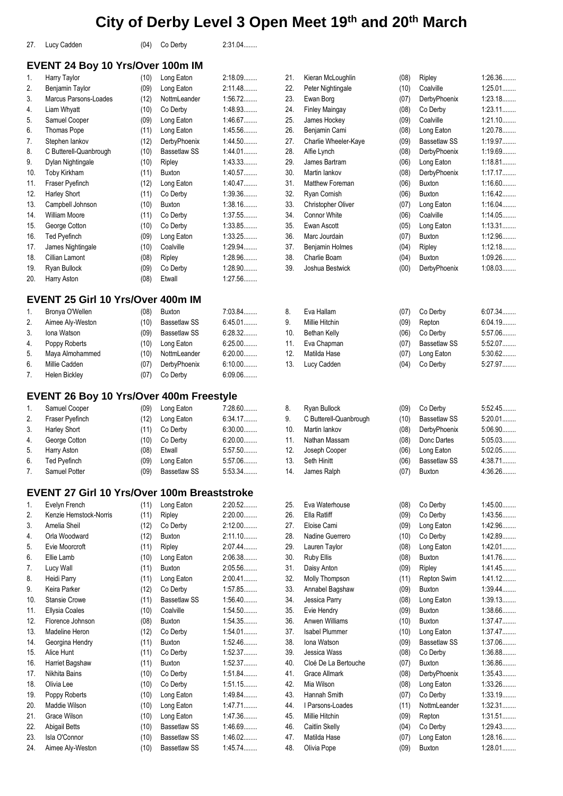| 27. | Lucy Cadden                                        | (04) | Co Derby            | 2:31.04   |     |                        |      |                     |           |
|-----|----------------------------------------------------|------|---------------------|-----------|-----|------------------------|------|---------------------|-----------|
|     | EVENT 24 Boy 10 Yrs/Over 100m IM                   |      |                     |           |     |                        |      |                     |           |
| 1.  | Harry Taylor                                       | (10) | Long Eaton          | 2:18.09   | 21. | Kieran McLoughlin      | (08) | Ripley              | 1:26.36   |
| 2.  | Benjamin Taylor                                    | (09) | Long Eaton          | 2:11.48   | 22. | Peter Nightingale      | (10) | Coalville           | $1:25.01$ |
| 3.  | Marcus Parsons-Loades                              | (12) | NottmLeander        | 1:56.72   | 23. | Ewan Borg              | (07) | DerbyPhoenix        | 1:23.18   |
| 4.  | Liam Whyatt                                        | (10) | Co Derby            | 1:48.93   | 24. | <b>Finley Maingay</b>  | (08) | Co Derby            | 1:23.11   |
| 5.  | Samuel Cooper                                      | (09) | Long Eaton          | 1:46.67   | 25. | James Hockey           | (09) | Coalville           | $1:21.10$ |
| 6.  | Thomas Pope                                        | (11) | Long Eaton          | 1.45.56   | 26. | Benjamin Cami          | (08) | Long Eaton          | 1:20.78   |
| 7.  | Stephen lankov                                     | (12) | DerbyPhoenix        | 1.44.50   | 27. | Charlie Wheeler-Kaye   | (09) | <b>Bassetlaw SS</b> | 1:19.97   |
| 8.  | C Butterell-Quanbrough                             | (10) | <b>Bassetlaw SS</b> | 1:44.01   | 28. | Alfie Lynch            | (08) | DerbyPhoenix        | 1:19.69   |
| 9.  | Dylan Nightingale                                  | (10) | Ripley              | 1.43.33   | 29. | James Bartram          | (06) | Long Eaton          | 1:18.81   |
| 10. | Toby Kirkham                                       | (11) | Buxton              | 1:40.57   | 30. | Martin lankov          | (08) | DerbyPhoenix        | 1:17.17   |
| 11. | Fraser Pyefinch                                    | (12) | Long Eaton          | 1:40.47   | 31. | Matthew Foreman        | (06) | <b>Buxton</b>       | 1:16.60   |
| 12. | Harley Short                                       | (11) | Co Derby            | 1:39.36   | 32. | Ryan Cornish           | (06) | <b>Buxton</b>       | 1:16.42   |
| 13. | Campbell Johnson                                   | (10) | <b>Buxton</b>       | 1:38.16   | 33. | Christopher Oliver     | (07) | Long Eaton          | 1:16.04   |
| 14. | <b>William Moore</b>                               | (11) | Co Derby            | 1:37.55   | 34. | <b>Connor White</b>    | (06) | Coalville           | 1:14.05   |
| 15. | George Cotton                                      | (10) | Co Derby            | 1:33.85   | 35. | Ewan Ascott            | (05) | Long Eaton          | 1:13.31   |
| 16. | <b>Ted Pyefinch</b>                                | (09) | Long Eaton          | 1:33.25   | 36. | Marc Jourdain          | (07) | <b>Buxton</b>       | 1:12.96   |
| 17. | James Nightingale                                  | (10) | Coalville           | 1:29.94   | 37. | Benjamin Holmes        | (04) | Ripley              | 1:12.18   |
| 18. | Cillian Lamont                                     | (08) | Ripley              | 1:28.96   | 38. | Charlie Boam           | (04) | Buxton              | 1:09.26   |
| 19. | Ryan Bullock                                       | (09) | Co Derby            | 1:28.90   | 39. | Joshua Bestwick        | (00) | DerbyPhoenix        | 1:08.03   |
| 20. | Harry Aston                                        | (08) | Etwall              | 1:27.56   |     |                        |      |                     |           |
|     |                                                    |      |                     |           |     |                        |      |                     |           |
|     | EVENT 25 Girl 10 Yrs/Over 400m IM                  |      |                     |           |     |                        |      |                     |           |
| 1.  | Bronya O'Wellen                                    | (08) | <b>Buxton</b>       | 7:03.84   | 8.  | Eva Hallam             | (07) | Co Derby            | 6:07.34   |
| 2.  | Aimee Aly-Weston                                   | (10) | <b>Bassetlaw SS</b> | $6:45.01$ | 9.  | Millie Hitchin         | (09) | Repton              | 6:04.19   |
| 3.  | Iona Watson                                        | (09) | <b>Bassetlaw SS</b> | 6:28.32   | 10. | Bethan Kelly           | (06) | Co Derby            | 5:57.06   |
| 4.  | Poppy Roberts                                      | (10) | Long Eaton          | $6:25.00$ | 11. | Eva Chapman            | (07) | <b>Bassetlaw SS</b> | 5:52.07   |
| 5.  | Maya Almohammed                                    | (10) | NottmLeander        | $6:20.00$ | 12. | Matilda Hase           | (07) | Long Eaton          | $5:30.62$ |
| 6.  | Millie Cadden                                      | (07) | DerbyPhoenix        | $6:10.00$ | 13. | Lucy Cadden            | (04) | Co Derby            | 5:27.97   |
| 7.  | <b>Helen Bickley</b>                               | (07) | Co Derby            | 6:09.06   |     |                        |      |                     |           |
|     | EVENT 26 Boy 10 Yrs/Over 400m Freestyle            |      |                     |           |     |                        |      |                     |           |
| 1.  | Samuel Cooper                                      | (09) | Long Eaton          | 7:28.60   | 8.  | Ryan Bullock           | (09) | Co Derby            | 5:52.45   |
| 2.  | Fraser Pyefinch                                    | (12) | Long Eaton          | 6:34.17   | 9.  | C Butterell-Quanbrough | (10) | <b>Bassetlaw SS</b> | $5:20.01$ |
| 3.  | Harley Short                                       | (11) | Co Derby            | $6:30.00$ | 10. | Martin lankov          | (08) | DerbyPhoenix        | 5:06.90   |
| 4.  | George Cotton                                      | (10) | Co Derby            | $6:20.00$ | 11. | Nathan Massam          | (08) | Donc Dartes         | 5:05.03   |
| 5.  | Harry Aston                                        | (08) | Etwall              | 5:57.50   | 12. | Joseph Cooper          | (06) | Long Eaton          | 5:02.05   |
| 6.  | Ted Pyefinch                                       | (09) | Long Eaton          | 5:57.06   | 13. | Seth Hinitt            | (06) | <b>Bassetlaw SS</b> | 4:38.71   |
| 7.  | Samuel Potter                                      | (09) | <b>Bassetlaw SS</b> | 5:53.34   | 14. | James Ralph            | (07) | Buxton              | 4:36.26   |
|     |                                                    |      |                     |           |     |                        |      |                     |           |
|     | <b>EVENT 27 Girl 10 Yrs/Over 100m Breaststroke</b> |      |                     |           |     |                        |      |                     |           |
| 1.  | Evelyn French                                      | (11) | Long Eaton          | $2:20.52$ | 25. | Eva Waterhouse         | (08) | Co Derby            | $1:45.00$ |
| 2.  | Kenzie Hemstock-Norris                             | (11) | Ripley              | 2:20.00   | 26. | Ella Ratliff           | (09) | Co Derby            | 1:43.56   |
| 3.  | Amelia Sheil                                       | (12) | Co Derby            | 2:12.00   | 27. | Eloise Cami            | (09) | Long Eaton          | 1:42.96   |
| 4.  | Orla Woodward                                      | (12) | <b>Buxton</b>       | 2:11.10   | 28. | Nadine Guerrero        | (10) | Co Derby            | 1:42.89   |
| 5.  | Evie Moorcroft                                     | (11) | Ripley              | 2:07.44   | 29. | Lauren Taylor          | (08) | Long Eaton          | 1:42.01   |
| 6.  | Ellie Lamb                                         | (10) | Long Eaton          | 2:06.38   | 30. | Ruby Ellis             | (08) | <b>Buxton</b>       | 1:41.76   |
| 7.  | Lucy Wall                                          | (11) | Buxton              | 2:05.56   | 31. | Daisy Anton            | (09) | Ripley              | 1:41.45   |
| 8.  | Heidi Parry                                        | (11) | Long Eaton          | 2:00.41   | 32. | Molly Thompson         | (11) | <b>Repton Swim</b>  | 1:41.12   |
| 9.  | Keira Parker                                       | (12) | Co Derby            | 1:57.85   | 33. | Annabel Bagshaw        | (09) | <b>Buxton</b>       | $1:39.44$ |
| 10. | <b>Stansie Crowe</b>                               | (11) | <b>Bassetlaw SS</b> | 1:56.40   | 34. | Jessica Parry          | (08) | Long Eaton          | 1:39.13   |
| 11. | Ellysia Coales                                     | (10) | Coalville           | 1:54.50   | 35. | Evie Hendry            | (09) | <b>Buxton</b>       | 1:38.66   |
| 12. | Florence Johnson                                   | (08) | <b>Buxton</b>       | 1:54.35   | 36. | Anwen Williams         | (10) | Buxton              | 1:37.47   |
| 13. | Madeline Heron                                     | (12) | Co Derby            | 1:54.01   | 37. | <b>Isabel Plummer</b>  | (10) | Long Eaton          | 1:37.47   |
| 14. | Georgina Hendry                                    | (11) | Buxton              | 1:52.46   | 38. | Iona Watson            | (09) | <b>Bassetlaw SS</b> | 1:37.06   |
| 15. | Alice Hunt                                         | (11) | Co Derby            | 1:52.37   | 39. | Jessica Wass           | (08) | Co Derby            | 1:36.88   |
| 16. | Harriet Bagshaw                                    | (11) | <b>Buxton</b>       | 1:52.37   | 40. | Cloé De La Bertouche   | (07) | <b>Buxton</b>       | 1:36.86   |
| 17. | Nikhita Bains                                      | (10) | Co Derby            | 1:51.84   | 41. | <b>Grace Allmark</b>   | (08) | DerbyPhoenix        | 1:35.43   |
| 18. | Olivia Lee                                         | (10) | Co Derby            | 1:51.15   | 42. | Mia Wilson             | (08) | Long Eaton          | 1:33.26   |
| 19. |                                                    |      |                     | 1:49.84   | 43. | Hannah Smith           |      | Co Derby            | 1:33.19   |
|     | Poppy Roberts                                      | (10) | Long Eaton          |           |     |                        | (07) |                     |           |
| 20. | Maddie Wilson                                      | (10) | Long Eaton          | 1:47.71   | 44. | I Parsons-Loades       | (11) | NottmLeander        | 1:32.31   |
| 21. | Grace Wilson                                       | (10) | Long Eaton          | 1:47.36   | 45. | Millie Hitchin         | (09) | Repton              | 1:31.51   |
| 22. | <b>Abigail Betts</b>                               | (10) | <b>Bassetlaw SS</b> | 1:46.69   | 46. | Caitlin Skelly         | (04) | Co Derby            | 1:29.43   |
| 23. | Isla O'Connor                                      | (10) | <b>Bassetlaw SS</b> | 1:46.02   | 47. | Matilda Hase           | (07) | Long Eaton          | 1:28.16   |

48. Olivia Pope (09) Buxton 1:28.01........

24. Aimee Aly-Weston (10) Bassetlaw SS 1:45.74........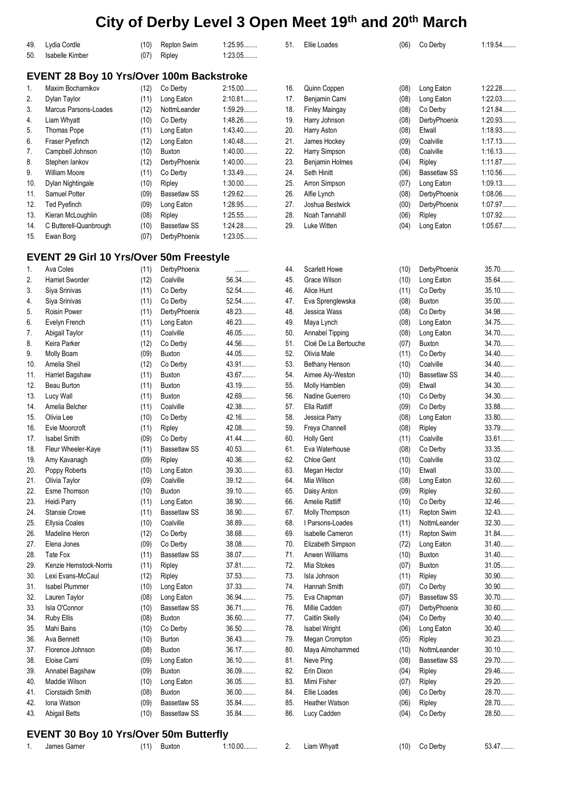| 49. | Lydia Cordle                                    | (10) | Repton Swim         | 1:25.95   | 51. | Ellie Loades          | (06) | Co Derby            | $1:19.54$ |
|-----|-------------------------------------------------|------|---------------------|-----------|-----|-----------------------|------|---------------------|-----------|
| 50. | <b>Isabelle Kimber</b>                          | (07) | Ripley              | 1:23.05   |     |                       |      |                     |           |
|     | <b>EVENT 28 Boy 10 Yrs/Over 100m Backstroke</b> |      |                     |           |     |                       |      |                     |           |
|     |                                                 |      |                     |           |     |                       |      |                     |           |
| 1.  | Maxim Bocharnikov                               | (12) | Co Derby            | $2:15.00$ | 16. | Quinn Coppen          | (08) | Long Eaton          | 1:22.28   |
| 2.  | Dylan Taylor                                    | (11) | Long Eaton          | 2:10.81   | 17. | Benjamin Cami         | (08) | Long Eaton          | 1:22.03   |
| 3.  | Marcus Parsons-Loades                           | (12) | NottmLeander        | 1:59.29   | 18. | <b>Finley Maingay</b> | (08) | Co Derby            | 1:21.84   |
| 4.  | Liam Whyatt                                     | (10) | Co Derby            | 1:48.26   | 19. | Harry Johnson         | (08) | DerbyPhoenix        | 1:20.93   |
| 5.  | Thomas Pope                                     | (11) | Long Eaton          | 1:43.40   | 20. | Harry Aston           | (08) | Etwall              | 1:18.93   |
| 6.  | Fraser Pyefinch                                 | (12) | Long Eaton          | 1:40.48   | 21. | James Hockey          | (09) | Coalville           | 1:17.13   |
| 7.  | Campbell Johnson                                | (10) | Buxton              | $1:40.00$ | 22. | Harry Simpson         | (08) | Coalville           | 1:16.13   |
| 8.  | Stephen lankov                                  | (12) | DerbyPhoenix        | $1:40.00$ | 23. | Benjamin Holmes       | (04) | Ripley              | 1:11.87   |
| 9.  | <b>William Moore</b>                            | (11) | Co Derby            | 1:33.49   | 24. | Seth Hinitt           | (06) | <b>Bassetlaw SS</b> | 1:10.56   |
| 10. | Dylan Nightingale                               | (10) | Ripley              | $1:30.00$ | 25. | Arron Simpson         | (07) | Long Eaton          | 1:09.13   |
| 11. | Samuel Potter                                   | (09) | <b>Bassetlaw SS</b> | 1:29.62   | 26. | Alfie Lynch           | (08) | DerbyPhoenix        | 1:08.06   |
| 12. | <b>Ted Pyefinch</b>                             | (09) | Long Eaton          | 1:28.95   | 27. | Joshua Bestwick       | (00) | DerbyPhoenix        | 1:07.97   |
| 13. | Kieran McLoughlin                               | (08) | Ripley              | 1:25.55   | 28. | Noah Tannahill        | (06) | Ripley              | 1:07.92   |
| 14. | C Butterell-Quanbrough                          | (10) | <b>Bassetlaw SS</b> | 1:24.28   | 29. | Luke Witten           | (04) | Long Eaton          | 1:05.67   |
| 15. | Ewan Borg                                       | (07) | DerbyPhoenix        | 1:23.05   |     |                       |      |                     |           |
|     | <b>EVENT 29 Girl 10 Yrs/Over 50m Freestyle</b>  |      |                     |           |     |                       |      |                     |           |
| 1.  | Ava Coles                                       | (11) | DerbyPhoenix        |           | 44. | <b>Scarlett Howe</b>  | (10) | DerbyPhoenix        | 35.70     |
| 2.  | <b>Harriet Sworder</b>                          | (12) | Coalville           | 56.34     | 45. | Grace Wilson          | (10) | Long Eaton          | 35.64     |
| 3.  | Siya Srinivas                                   | (11) | Co Derby            | 52.54     | 46. | Alice Hunt            | (11) | Co Derby            | 35.10     |
| 4.  | Siya Srinivas                                   |      | Co Derby            | 52.54     | 47. | Eva Sprenglewska      |      | <b>Buxton</b>       | 35.00     |
|     |                                                 | (11) |                     |           |     |                       | (08) |                     |           |
| 5.  | Roisin Power                                    | (11) | DerbyPhoenix        | 48.23     | 48. | Jessica Wass          | (08) | Co Derby            | 34.98     |
| 6.  | Evelyn French                                   | (11) | Long Eaton          | 46.23     | 49. | Maya Lynch            | (08) | Long Eaton          | 34.75     |
| 7.  | Abigail Taylor                                  | (11) | Coalville           | 46.05     | 50. | Annabel Tipping       | (08) | Long Eaton          | 34.70     |
| 8.  | Keira Parker                                    | (12) | Co Derby            | 44.56     | 51. | Cloé De La Bertouche  | (07) | Buxton              | 34.70     |
| 9.  | Molly Boam                                      | (09) | <b>Buxton</b>       | 44.05     | 52. | Olivia Male           | (11) | Co Derby            | 34.40     |
| 10. | Amelia Sheil                                    | (12) | Co Derby            | 43.91     | 53. | Bethany Henson        | (10) | Coalville           | 34.40     |
| 11. | Harriet Bagshaw                                 | (11) | <b>Buxton</b>       | 43.67     | 54. | Aimee Aly-Weston      | (10) | <b>Bassetlaw SS</b> | 34.40     |
| 12. | Beau Burton                                     | (11) | <b>Buxton</b>       | 43.19     | 55. | Molly Hamblen         | (09) | Etwall              | 34.30     |
| 13. | Lucy Wall                                       | (11) | Buxton              | 42.69     | 56. | Nadine Guerrero       | (10) | Co Derby            | 34.30     |
| 14. | Amelia Belcher                                  | (11) | Coalville           | 42.38     | 57. | Ella Ratliff          | (09) | Co Derby            | 33.88     |
| 15. | Olivia Lee                                      | (10) | Co Derby            | 42.16     | 58. | Jessica Parry         | (08) | Long Eaton          | 33.80     |
| 16. | Evie Moorcroft                                  | (11) | Ripley              | 42.08     | 59. | Freya Channell        | (08) | Ripley              | 33.79     |
| 17. | <b>Isabel Smith</b>                             | (09) | Co Derby            | 41.44     | 60. | <b>Holly Gent</b>     | (11) | Coalville           | 33.61     |
| 18. | Fleur Wheeler-Kaye                              | (11) | <b>Bassetlaw SS</b> | 40.53     | 61. | Eva Waterhouse        | (08) | Co Derby            | 33.35     |
| 19. | Amy Kavanagh                                    | (09) | Ripley              | 40.36     | 62. | Chloe Gent            | (10) | Coalville           | 33.02     |
| 20. | Poppy Roberts                                   | (10) | Long Eaton          | 39.30     | 63. | Megan Hector          | (10) | Etwall              | $33.00$   |
| 21. | Olivia Taylor                                   | (09) | Coalville           | 39.12     | 64. | Mia Wilson            | (08) | Long Eaton          | $32.60$   |
| 22. | Esme Thomson                                    | (10) | Buxton              | 39.10     | 65. | Daisy Anton           |      |                     | 32.60     |
|     |                                                 |      |                     | 38.90     | 66. | <b>Amelie Ratliff</b> | (09) | Ripley<br>Co Derby  | 32.46     |
| 23. | Heidi Parry                                     | (11) | Long Eaton          |           |     |                       | (10) |                     |           |
| 24. | Stansie Crowe                                   | (11) | <b>Bassetlaw SS</b> | 38.90     | 67. | Molly Thompson        | (11) | Repton Swim         | 32.43.    |
| 25. | <b>Ellysia Coales</b>                           | (10) | Coalville           | 38.89     | 68. | I Parsons-Loades      | (11) | NottmLeander        | 32.30     |
| 26. | Madeline Heron                                  | (12) | Co Derby            | 38.68     | 69. | Isabelle Cameron      | (11) | Repton Swim         | 31.84     |
| 27. | Elena Jones                                     | (09) | Co Derby            | $38.08$   | 70. | Elizabeth Simpson     | (72) | Long Eaton          | $31.40$   |
| 28. | Tate Fox                                        | (11) | <b>Bassetlaw SS</b> | 38.07     | 71. | Anwen Williams        | (10) | <b>Buxton</b>       | $31.40$   |
| 29. | Kenzie Hemstock-Norris                          | (11) | Ripley              | 37.81     | 72. | Mia Stokes            | (07) | <b>Buxton</b>       | $31.05$   |
| 30. | Lexi Evans-McCaul                               | (12) | Ripley              | 37.53     | 73. | Isla Johnson          | (11) | Ripley              | $30.90$   |
| 31. | Isabel Plummer                                  | (10) | Long Eaton          | 37.33     | 74. | Hannah Smith          | (07) | Co Derby            | 30.90     |
| 32. | Lauren Taylor                                   | (08) | Long Eaton          | 36.94     | 75. | Eva Chapman           | (07) | <b>Bassetlaw SS</b> | 30.70     |
| 33. | Isla O'Connor                                   | (10) | <b>Bassetlaw SS</b> | 36.71     | 76. | Millie Cadden         | (07) | DerbyPhoenix        | $30.60$   |
| 34. | Ruby Ellis                                      | (08) | Buxton              | 36.60     | 77. | Caitlin Skelly        | (04) | Co Derby            | $30.40$   |
| 35. | Mahi Bains                                      | (10) | Co Derby            | 36.50     | 78. | <b>Isabel Wright</b>  | (06) | Long Eaton          | $30.40$   |
| 36. | Ava Bennett                                     | (10) | Burton              | 36.43     | 79. | Megan Crompton        | (05) | Ripley              | $30.23$   |
| 37. | Florence Johnson                                | (08) | Buxton              | 36.17     | 80. | Maya Almohammed       | (10) | NottmLeander        | $30.10$   |
| 38. | Eloise Cami                                     | (09) | Long Eaton          | 36.10     | 81. | Neve Ping             | (08) | <b>Bassetlaw SS</b> | 29.70     |
|     |                                                 |      |                     | 36.09     |     |                       |      |                     | 29.46     |
| 39. | Annabel Bagshaw                                 | (09) | Buxton              |           | 82. | Erin Dixon            | (04) | Ripley              |           |
| 40. | Maddie Wilson                                   | (10) | Long Eaton          | 36.05     | 83. | Mimi Fisher           | (07) | Ripley              | 29.20     |
| 41. | Ciorstaidh Smith                                | (08) | Buxton              | 36.00     | 84. | Ellie Loades          | (06) | Co Derby            | 28.70     |
| 42. | Iona Watson                                     | (09) | <b>Bassetlaw SS</b> | 35.84     | 85. | Heather Watson        | (06) | Ripley              | 28.70     |
| 43. | <b>Abigail Betts</b>                            | (10) | <b>Bassetlaw SS</b> | 35.84     | 86. | Lucy Cadden           | (04) | Co Derby            | 28.50     |

### **EVENT 30 Boy 10 Yrs/Over 50m Butterfly**

ner 1.10.00........ 2. Liam Whyatt (10) Co Derby 53.47........